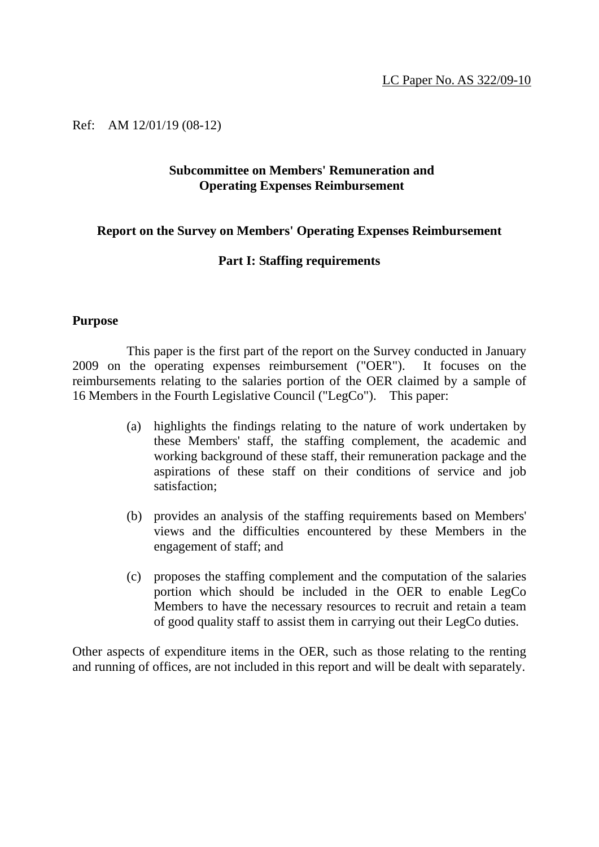Ref: AM 12/01/19 (08-12)

#### **Subcommittee on Members' Remuneration and Operating Expenses Reimbursement**

#### **Report on the Survey on Members' Operating Expenses Reimbursement**

#### **Part I: Staffing requirements**

#### **Purpose**

This paper is the first part of the report on the Survey conducted in January 2009 on the operating expenses reimbursement ("OER"). It focuses on the reimbursements relating to the salaries portion of the OER claimed by a sample of 16 Members in the Fourth Legislative Council ("LegCo"). This paper:

- (a) highlights the findings relating to the nature of work undertaken by these Members' staff, the staffing complement, the academic and working background of these staff, their remuneration package and the aspirations of these staff on their conditions of service and job satisfaction;
- (b) provides an analysis of the staffing requirements based on Members' views and the difficulties encountered by these Members in the engagement of staff; and
- (c) proposes the staffing complement and the computation of the salaries portion which should be included in the OER to enable LegCo Members to have the necessary resources to recruit and retain a team of good quality staff to assist them in carrying out their LegCo duties.

Other aspects of expenditure items in the OER, such as those relating to the renting and running of offices, are not included in this report and will be dealt with separately.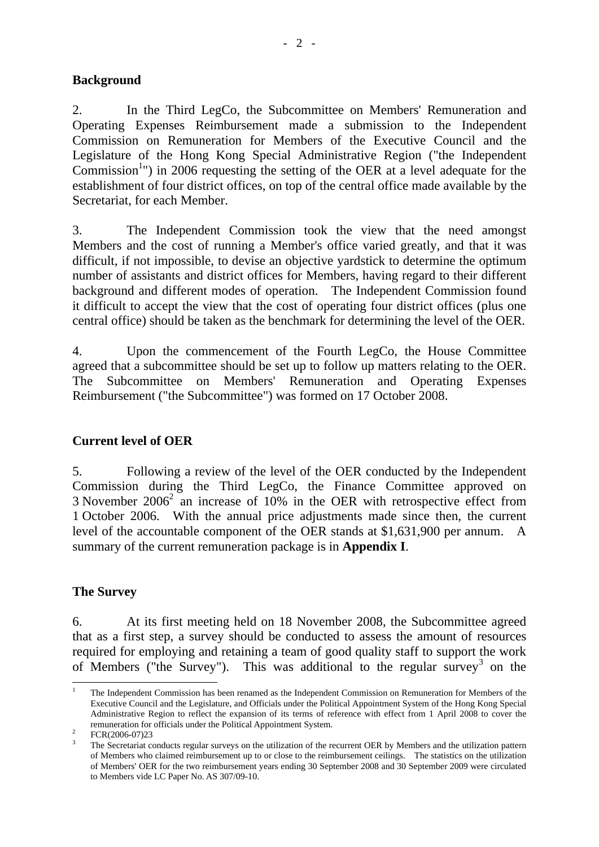### **Background**

2. In the Third LegCo, the Subcommittee on Members' Remuneration and Operating Expenses Reimbursement made a submission to the Independent Commission on Remuneration for Members of the Executive Council and the Legislature of the Hong Kong Special Administrative Region ("the Independent Commission<sup>1</sup>") in 2006 requesting the setting of the OER at a level adequate for the establishment of four district offices, on top of the central office made available by the Secretariat, for each Member.

3. The Independent Commission took the view that the need amongst Members and the cost of running a Member's office varied greatly, and that it was difficult, if not impossible, to devise an objective yardstick to determine the optimum number of assistants and district offices for Members, having regard to their different background and different modes of operation. The Independent Commission found it difficult to accept the view that the cost of operating four district offices (plus one central office) should be taken as the benchmark for determining the level of the OER.

4. Upon the commencement of the Fourth LegCo, the House Committee agreed that a subcommittee should be set up to follow up matters relating to the OER. The Subcommittee on Members' Remuneration and Operating Expenses Reimbursement ("the Subcommittee") was formed on 17 October 2008.

#### **Current level of OER**

5. Following a review of the level of the OER conducted by the Independent Commission during the Third LegCo, the Finance Committee approved on 3 November  $2006^2$  an increase of 10% in the OER with retrospective effect from 1 October 2006. With the annual price adjustments made since then, the current level of the accountable component of the OER stands at \$1,631,900 per annum. A summary of the current remuneration package is in **Appendix I**.

### **The Survey**

6. At its first meeting held on 18 November 2008, the Subcommittee agreed that as a first step, a survey should be conducted to assess the amount of resources required for employing and retaining a team of good quality staff to support the work of Members ("the Survey"). This was additional to the regular survey<sup>3</sup> on the

<sup>&</sup>lt;u>.</u> 1 The Independent Commission has been renamed as the Independent Commission on Remuneration for Members of the Executive Council and the Legislature, and Officials under the Political Appointment System of the Hong Kong Special Administrative Region to reflect the expansion of its terms of reference with effect from 1 April 2008 to cover the remuneration for officials under the Political Appointment System.

FCR(2006-07)23

<sup>3</sup> The Secretariat conducts regular surveys on the utilization of the recurrent OER by Members and the utilization pattern of Members who claimed reimbursement up to or close to the reimbursement ceilings. The statistics on the utilization of Members' OER for the two reimbursement years ending 30 September 2008 and 30 September 2009 were circulated to Members vide LC Paper No. AS 307/09-10.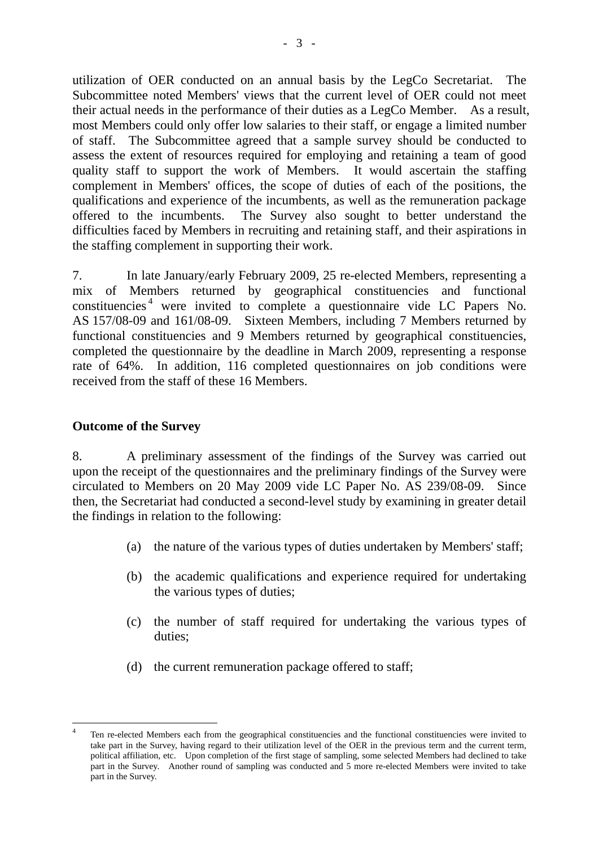utilization of OER conducted on an annual basis by the LegCo Secretariat. The Subcommittee noted Members' views that the current level of OER could not meet their actual needs in the performance of their duties as a LegCo Member. As a result, most Members could only offer low salaries to their staff, or engage a limited number of staff. The Subcommittee agreed that a sample survey should be conducted to assess the extent of resources required for employing and retaining a team of good quality staff to support the work of Members. It would ascertain the staffing complement in Members' offices, the scope of duties of each of the positions, the qualifications and experience of the incumbents, as well as the remuneration package offered to the incumbents. The Survey also sought to better understand the difficulties faced by Members in recruiting and retaining staff, and their aspirations in the staffing complement in supporting their work.

7. In late January/early February 2009, 25 re-elected Members, representing a mix of Members returned by geographical constituencies and functional constituencies 4 were invited to complete a questionnaire vide LC Papers No. AS 157/08-09 and 161/08-09. Sixteen Members, including 7 Members returned by functional constituencies and 9 Members returned by geographical constituencies, completed the questionnaire by the deadline in March 2009, representing a response rate of 64%. In addition, 116 completed questionnaires on job conditions were received from the staff of these 16 Members.

#### **Outcome of the Survey**

1

8. A preliminary assessment of the findings of the Survey was carried out upon the receipt of the questionnaires and the preliminary findings of the Survey were circulated to Members on 20 May 2009 vide LC Paper No. AS 239/08-09. Since then, the Secretariat had conducted a second-level study by examining in greater detail the findings in relation to the following:

- (a) the nature of the various types of duties undertaken by Members' staff;
- (b) the academic qualifications and experience required for undertaking the various types of duties;
- (c) the number of staff required for undertaking the various types of duties;
- (d) the current remuneration package offered to staff;

<sup>4</sup> Ten re-elected Members each from the geographical constituencies and the functional constituencies were invited to take part in the Survey, having regard to their utilization level of the OER in the previous term and the current term, political affiliation, etc. Upon completion of the first stage of sampling, some selected Members had declined to take part in the Survey. Another round of sampling was conducted and 5 more re-elected Members were invited to take part in the Survey.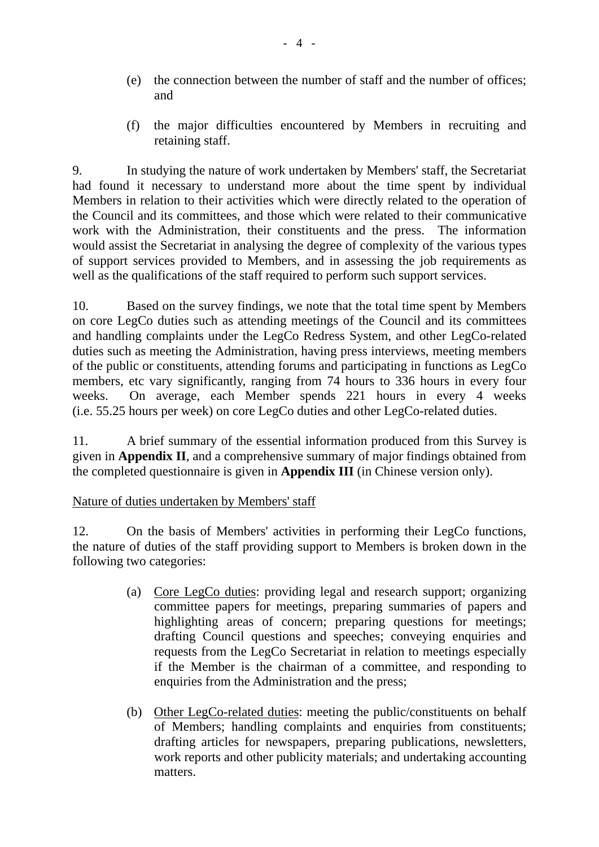- (e) the connection between the number of staff and the number of offices; and
- (f) the major difficulties encountered by Members in recruiting and retaining staff.

9. In studying the nature of work undertaken by Members' staff, the Secretariat had found it necessary to understand more about the time spent by individual Members in relation to their activities which were directly related to the operation of the Council and its committees, and those which were related to their communicative work with the Administration, their constituents and the press. The information would assist the Secretariat in analysing the degree of complexity of the various types of support services provided to Members, and in assessing the job requirements as well as the qualifications of the staff required to perform such support services.

10. Based on the survey findings, we note that the total time spent by Members on core LegCo duties such as attending meetings of the Council and its committees and handling complaints under the LegCo Redress System, and other LegCo-related duties such as meeting the Administration, having press interviews, meeting members of the public or constituents, attending forums and participating in functions as LegCo members, etc vary significantly, ranging from 74 hours to 336 hours in every four weeks. On average, each Member spends 221 hours in every 4 weeks (i.e. 55.25 hours per week) on core LegCo duties and other LegCo-related duties.

11. A brief summary of the essential information produced from this Survey is given in **Appendix II**, and a comprehensive summary of major findings obtained from the completed questionnaire is given in **Appendix III** (in Chinese version only).

#### Nature of duties undertaken by Members' staff

12. On the basis of Members' activities in performing their LegCo functions, the nature of duties of the staff providing support to Members is broken down in the following two categories:

- (a) Core LegCo duties: providing legal and research support; organizing committee papers for meetings, preparing summaries of papers and highlighting areas of concern; preparing questions for meetings; drafting Council questions and speeches; conveying enquiries and requests from the LegCo Secretariat in relation to meetings especially if the Member is the chairman of a committee, and responding to enquiries from the Administration and the press;
- (b) Other LegCo-related duties: meeting the public/constituents on behalf of Members; handling complaints and enquiries from constituents; drafting articles for newspapers, preparing publications, newsletters, work reports and other publicity materials; and undertaking accounting matters.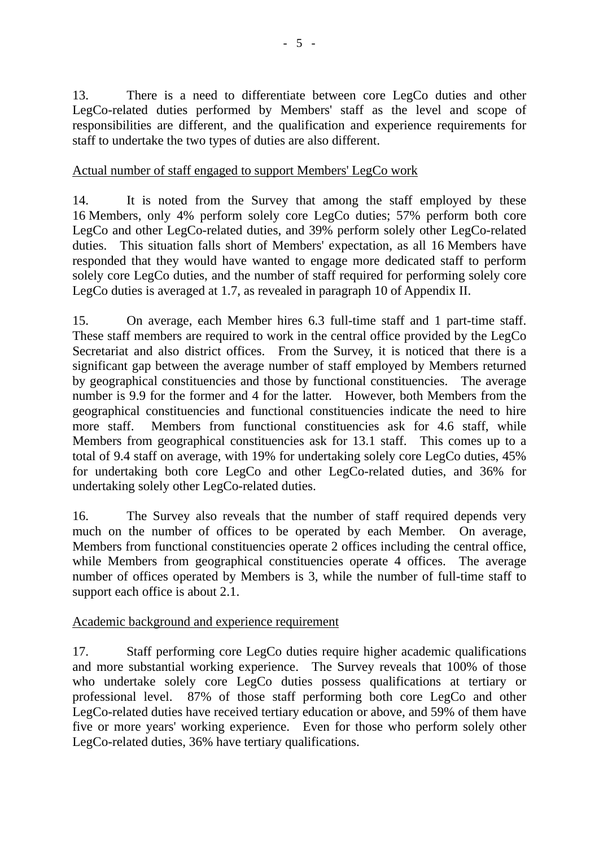13. There is a need to differentiate between core LegCo duties and other LegCo-related duties performed by Members' staff as the level and scope of responsibilities are different, and the qualification and experience requirements for staff to undertake the two types of duties are also different.

### Actual number of staff engaged to support Members' LegCo work

14. It is noted from the Survey that among the staff employed by these 16 Members, only 4% perform solely core LegCo duties; 57% perform both core LegCo and other LegCo-related duties, and 39% perform solely other LegCo-related duties. This situation falls short of Members' expectation, as all 16 Members have responded that they would have wanted to engage more dedicated staff to perform solely core LegCo duties, and the number of staff required for performing solely core LegCo duties is averaged at 1.7, as revealed in paragraph 10 of Appendix II.

15. On average, each Member hires 6.3 full-time staff and 1 part-time staff. These staff members are required to work in the central office provided by the LegCo Secretariat and also district offices. From the Survey, it is noticed that there is a significant gap between the average number of staff employed by Members returned by geographical constituencies and those by functional constituencies. The average number is 9.9 for the former and 4 for the latter. However, both Members from the geographical constituencies and functional constituencies indicate the need to hire more staff. Members from functional constituencies ask for 4.6 staff, while Members from geographical constituencies ask for 13.1 staff. This comes up to a total of 9.4 staff on average, with 19% for undertaking solely core LegCo duties, 45% for undertaking both core LegCo and other LegCo-related duties, and 36% for undertaking solely other LegCo-related duties.

16. The Survey also reveals that the number of staff required depends very much on the number of offices to be operated by each Member. On average, Members from functional constituencies operate 2 offices including the central office, while Members from geographical constituencies operate 4 offices. The average number of offices operated by Members is 3, while the number of full-time staff to support each office is about 2.1.

#### Academic background and experience requirement

17. Staff performing core LegCo duties require higher academic qualifications and more substantial working experience. The Survey reveals that 100% of those who undertake solely core LegCo duties possess qualifications at tertiary or professional level. 87% of those staff performing both core LegCo and other LegCo-related duties have received tertiary education or above, and 59% of them have five or more years' working experience. Even for those who perform solely other LegCo-related duties, 36% have tertiary qualifications.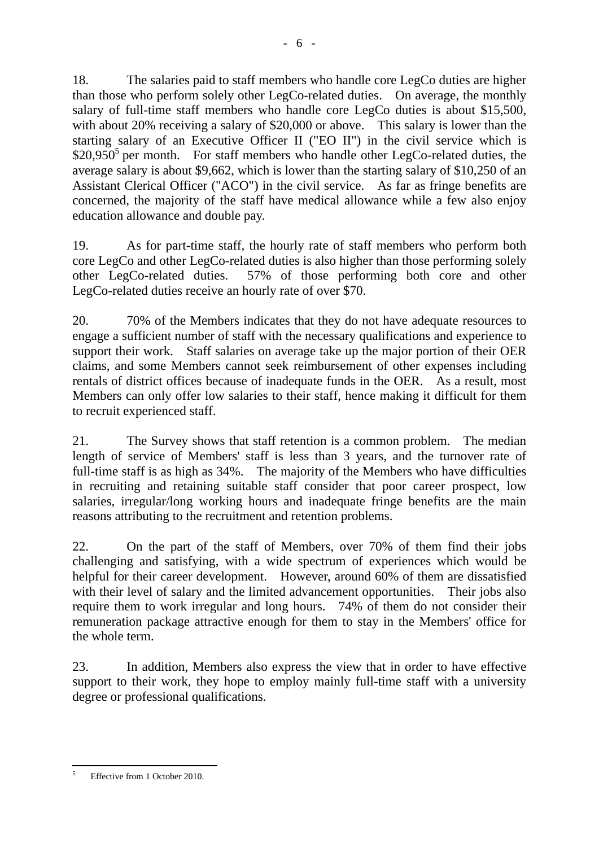18. The salaries paid to staff members who handle core LegCo duties are higher than those who perform solely other LegCo-related duties. On average, the monthly salary of full-time staff members who handle core LegCo duties is about \$15,500, with about 20% receiving a salary of \$20,000 or above. This salary is lower than the starting salary of an Executive Officer II ("EO II") in the civil service which is  $$20,950^5$  per month. For staff members who handle other LegCo-related duties, the average salary is about \$9,662, which is lower than the starting salary of \$10,250 of an Assistant Clerical Officer ("ACO") in the civil service. As far as fringe benefits are concerned, the majority of the staff have medical allowance while a few also enjoy education allowance and double pay.

19. As for part-time staff, the hourly rate of staff members who perform both core LegCo and other LegCo-related duties is also higher than those performing solely other LegCo-related duties. 57% of those performing both core and other LegCo-related duties receive an hourly rate of over \$70.

20. 70% of the Members indicates that they do not have adequate resources to engage a sufficient number of staff with the necessary qualifications and experience to support their work. Staff salaries on average take up the major portion of their OER claims, and some Members cannot seek reimbursement of other expenses including rentals of district offices because of inadequate funds in the OER. As a result, most Members can only offer low salaries to their staff, hence making it difficult for them to recruit experienced staff.

21. The Survey shows that staff retention is a common problem. The median length of service of Members' staff is less than 3 years, and the turnover rate of full-time staff is as high as 34%. The majority of the Members who have difficulties in recruiting and retaining suitable staff consider that poor career prospect, low salaries, irregular/long working hours and inadequate fringe benefits are the main reasons attributing to the recruitment and retention problems.

22. On the part of the staff of Members, over 70% of them find their jobs challenging and satisfying, with a wide spectrum of experiences which would be helpful for their career development. However, around 60% of them are dissatisfied with their level of salary and the limited advancement opportunities. Their jobs also require them to work irregular and long hours. 74% of them do not consider their remuneration package attractive enough for them to stay in the Members' office for the whole term.

23. In addition, Members also express the view that in order to have effective support to their work, they hope to employ mainly full-time staff with a university degree or professional qualifications.

<sup>&</sup>lt;u>.</u> 5 Effective from 1 October 2010.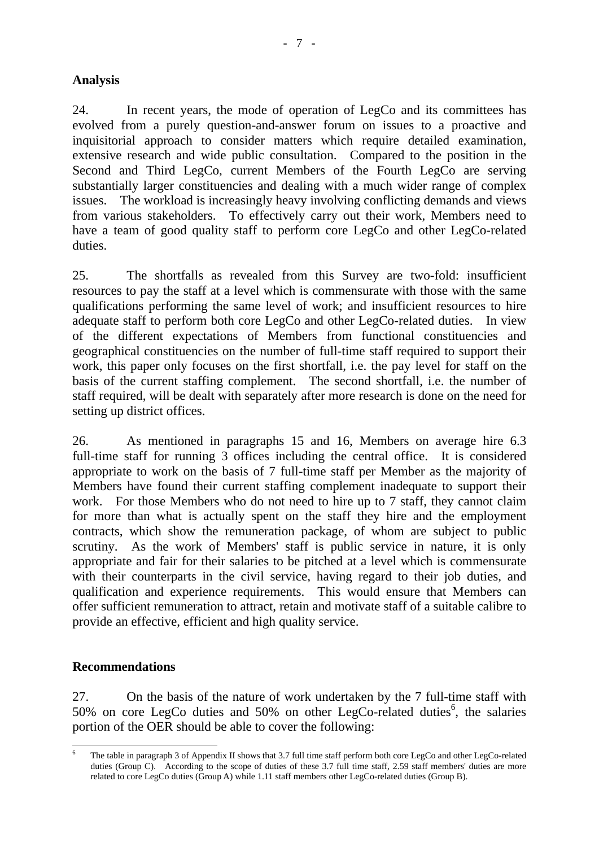### **Analysis**

24. In recent years, the mode of operation of LegCo and its committees has evolved from a purely question-and-answer forum on issues to a proactive and inquisitorial approach to consider matters which require detailed examination, extensive research and wide public consultation. Compared to the position in the Second and Third LegCo, current Members of the Fourth LegCo are serving substantially larger constituencies and dealing with a much wider range of complex issues. The workload is increasingly heavy involving conflicting demands and views from various stakeholders. To effectively carry out their work, Members need to have a team of good quality staff to perform core LegCo and other LegCo-related duties.

25. The shortfalls as revealed from this Survey are two-fold: insufficient resources to pay the staff at a level which is commensurate with those with the same qualifications performing the same level of work; and insufficient resources to hire adequate staff to perform both core LegCo and other LegCo-related duties. In view of the different expectations of Members from functional constituencies and geographical constituencies on the number of full-time staff required to support their work, this paper only focuses on the first shortfall, i.e. the pay level for staff on the basis of the current staffing complement. The second shortfall, i.e. the number of staff required, will be dealt with separately after more research is done on the need for setting up district offices.

26. As mentioned in paragraphs 15 and 16, Members on average hire 6.3 full-time staff for running 3 offices including the central office. It is considered appropriate to work on the basis of 7 full-time staff per Member as the majority of Members have found their current staffing complement inadequate to support their work. For those Members who do not need to hire up to 7 staff, they cannot claim for more than what is actually spent on the staff they hire and the employment contracts, which show the remuneration package, of whom are subject to public scrutiny. As the work of Members' staff is public service in nature, it is only appropriate and fair for their salaries to be pitched at a level which is commensurate with their counterparts in the civil service, having regard to their job duties, and qualification and experience requirements. This would ensure that Members can offer sufficient remuneration to attract, retain and motivate staff of a suitable calibre to provide an effective, efficient and high quality service.

#### **Recommendations**

27. On the basis of the nature of work undertaken by the 7 full-time staff with 50% on core LegCo duties and 50% on other LegCo-related duties<sup>6</sup>, the salaries portion of the OER should be able to cover the following:

 $-$ <br>6 The table in paragraph 3 of Appendix II shows that 3.7 full time staff perform both core LegCo and other LegCo-related duties (Group C). According to the scope of duties of these 3.7 full time staff, 2.59 staff members' duties are more related to core LegCo duties (Group A) while 1.11 staff members other LegCo-related duties (Group B).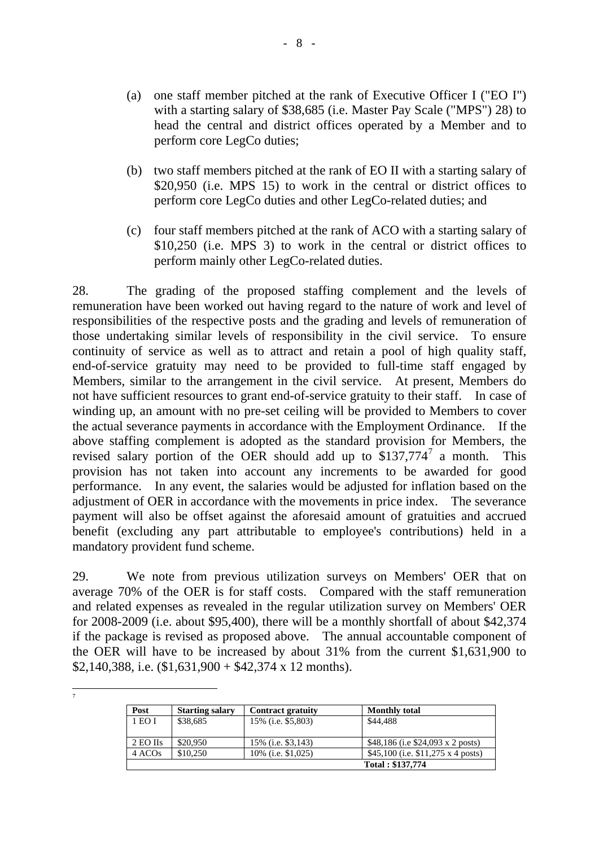- (a) one staff member pitched at the rank of Executive Officer I ("EO I") with a starting salary of \$38,685 (i.e. Master Pay Scale ("MPS") 28) to head the central and district offices operated by a Member and to perform core LegCo duties;
- (b) two staff members pitched at the rank of EO II with a starting salary of \$20,950 (i.e. MPS 15) to work in the central or district offices to perform core LegCo duties and other LegCo-related duties; and
- (c) four staff members pitched at the rank of ACO with a starting salary of \$10,250 (i.e. MPS 3) to work in the central or district offices to perform mainly other LegCo-related duties.

28. The grading of the proposed staffing complement and the levels of remuneration have been worked out having regard to the nature of work and level of responsibilities of the respective posts and the grading and levels of remuneration of those undertaking similar levels of responsibility in the civil service. To ensure continuity of service as well as to attract and retain a pool of high quality staff, end-of-service gratuity may need to be provided to full-time staff engaged by Members, similar to the arrangement in the civil service. At present, Members do not have sufficient resources to grant end-of-service gratuity to their staff. In case of winding up, an amount with no pre-set ceiling will be provided to Members to cover the actual severance payments in accordance with the Employment Ordinance. If the above staffing complement is adopted as the standard provision for Members, the revised salary portion of the OER should add up to  $$137,774$ <sup>7</sup> a month. This provision has not taken into account any increments to be awarded for good performance. In any event, the salaries would be adjusted for inflation based on the adjustment of OER in accordance with the movements in price index. The severance payment will also be offset against the aforesaid amount of gratuities and accrued benefit (excluding any part attributable to employee's contributions) held in a mandatory provident fund scheme.

29. We note from previous utilization surveys on Members' OER that on average 70% of the OER is for staff costs. Compared with the staff remuneration and related expenses as revealed in the regular utilization survey on Members' OER for 2008-2009 (i.e. about \$95,400), there will be a monthly shortfall of about \$42,374 if the package is revised as proposed above. The annual accountable component of the OER will have to be increased by about 31% from the current \$1,631,900 to \$2,140,388, i.e.  $$1,631,900 + $42,374 \times 12 \text{ months}$ .

 $\frac{1}{7}$ 

| Post               | <b>Starting salary</b> | <b>Contract gratuity</b>   | <b>Monthly total</b>                     |
|--------------------|------------------------|----------------------------|------------------------------------------|
| 1 EO I             | \$38,685               | 15% (i.e. \$5,803)         | \$44,488                                 |
| 2 EO IIs           | \$20,950               |                            |                                          |
|                    |                        | 15% ( <i>i.e.</i> \$3,143) | \$48,186 (i.e \$24,093 x 2 posts)        |
| 4 ACO <sub>s</sub> | \$10,250               | 10% (i.e. \$1,025)         | \$45,100 (i.e. $$11,275 \times 4$ posts) |
|                    |                        |                            | Total: \$137,774                         |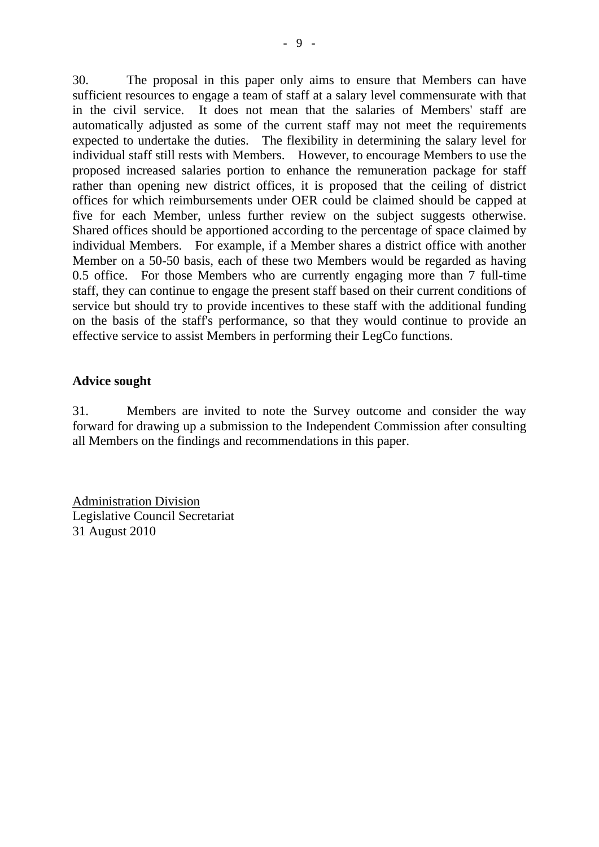30. The proposal in this paper only aims to ensure that Members can have sufficient resources to engage a team of staff at a salary level commensurate with that in the civil service. It does not mean that the salaries of Members' staff are automatically adjusted as some of the current staff may not meet the requirements expected to undertake the duties. The flexibility in determining the salary level for individual staff still rests with Members. However, to encourage Members to use the proposed increased salaries portion to enhance the remuneration package for staff rather than opening new district offices, it is proposed that the ceiling of district offices for which reimbursements under OER could be claimed should be capped at five for each Member, unless further review on the subject suggests otherwise. Shared offices should be apportioned according to the percentage of space claimed by individual Members. For example, if a Member shares a district office with another Member on a 50-50 basis, each of these two Members would be regarded as having 0.5 office. For those Members who are currently engaging more than 7 full-time staff, they can continue to engage the present staff based on their current conditions of service but should try to provide incentives to these staff with the additional funding on the basis of the staff's performance, so that they would continue to provide an effective service to assist Members in performing their LegCo functions.

#### **Advice sought**

31. Members are invited to note the Survey outcome and consider the way forward for drawing up a submission to the Independent Commission after consulting all Members on the findings and recommendations in this paper.

Administration Division Legislative Council Secretariat 31 August 2010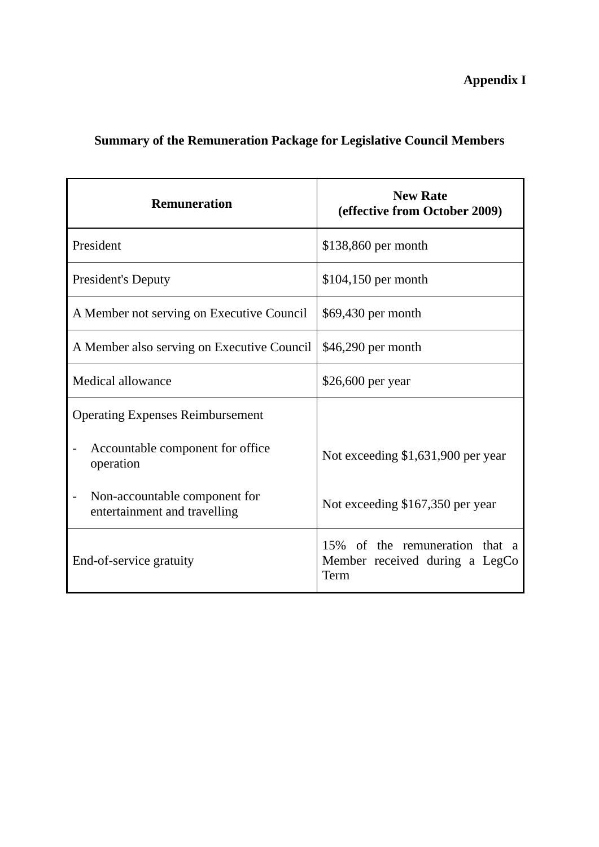**Appendix I** 

### **Summary of the Remuneration Package for Legislative Council Members**

| <b>Remuneration</b>                                           | <b>New Rate</b><br>(effective from October 2009)                         |
|---------------------------------------------------------------|--------------------------------------------------------------------------|
| President                                                     | \$138,860 per month                                                      |
| <b>President's Deputy</b>                                     | $$104,150$ per month                                                     |
| A Member not serving on Executive Council                     | \$69,430 per month                                                       |
| A Member also serving on Executive Council                    | \$46,290 per month                                                       |
| Medical allowance                                             | \$26,600 per year                                                        |
| <b>Operating Expenses Reimbursement</b>                       |                                                                          |
| Accountable component for office<br>operation                 | Not exceeding \$1,631,900 per year                                       |
| Non-accountable component for<br>entertainment and travelling | Not exceeding \$167,350 per year                                         |
| End-of-service gratuity                                       | 15% of the remuneration that a<br>Member received during a LegCo<br>Term |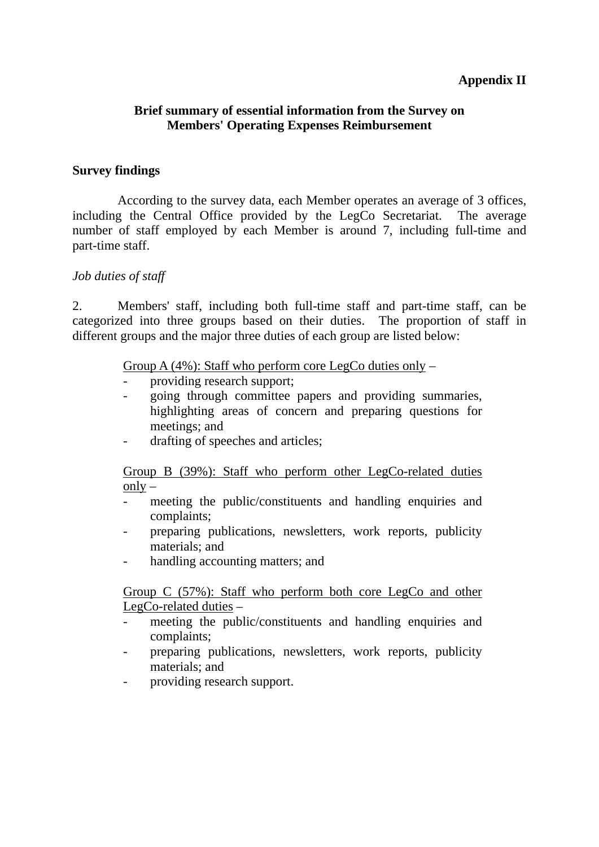### **Appendix II**

#### **Brief summary of essential information from the Survey on Members' Operating Expenses Reimbursement**

#### **Survey findings**

 According to the survey data, each Member operates an average of 3 offices, including the Central Office provided by the LegCo Secretariat. The average number of staff employed by each Member is around 7, including full-time and part-time staff.

#### *Job duties of staff*

2. Members' staff, including both full-time staff and part-time staff, can be categorized into three groups based on their duties. The proportion of staff in different groups and the major three duties of each group are listed below:

#### Group A  $(4\%)$ : Staff who perform core LegCo duties only –

- providing research support;
- going through committee papers and providing summaries, highlighting areas of concern and preparing questions for meetings; and
- drafting of speeches and articles;

 Group B (39%): Staff who perform other LegCo-related duties  $onlv -$ 

- meeting the public/constituents and handling enquiries and complaints;
- preparing publications, newsletters, work reports, publicity materials; and
- handling accounting matters; and

 Group C (57%): Staff who perform both core LegCo and other LegCo-related duties –

- meeting the public/constituents and handling enquiries and complaints;
- preparing publications, newsletters, work reports, publicity materials; and
- providing research support.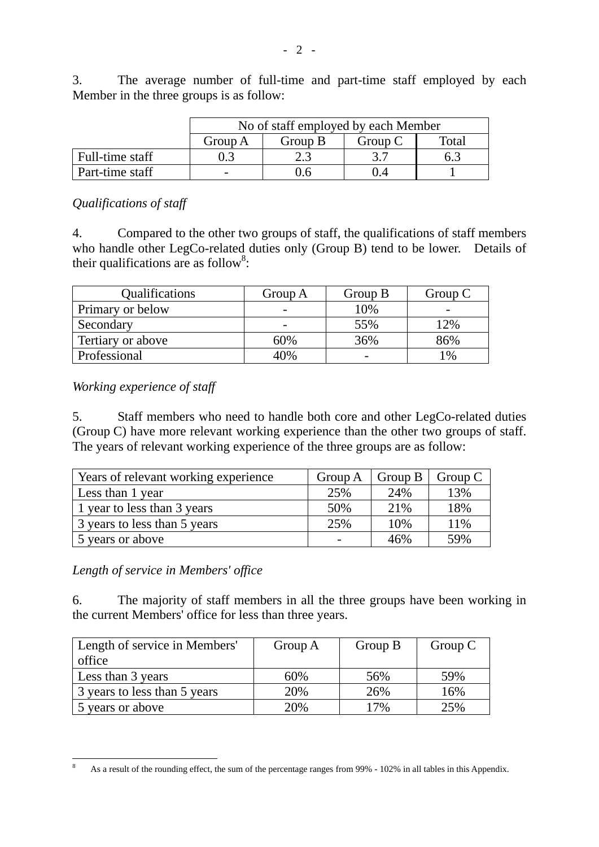No of staff employed by each Member Group A Group B Group C Total Full-time staff  $\begin{array}{|c|c|c|c|c|c|c|c|c|} \hline \end{array}$  0.3  $\begin{array}{|c|c|c|c|c|c|c|c|} \hline \end{array}$  3.7  $\begin{array}{|c|c|c|c|c|c|c|c|} \hline \end{array}$  6.3 Part-time staff [1000] - 0.6 1 0.4 1 1

3. The average number of full-time and part-time staff employed by each Member in the three groups is as follow:

#### *Qualifications of staff*

4. Compared to the other two groups of staff, the qualifications of staff members who handle other LegCo-related duties only (Group B) tend to be lower. Details of their qualifications are as follow<sup>8</sup>:

| <b>Qualifications</b> | Group A | Group B | Group C |
|-----------------------|---------|---------|---------|
| Primary or below      |         | 10%     |         |
| Secondary             |         | 55%     | $12\%$  |
| Tertiary or above     | 60%     | 36%     | 86%     |
| Professional          | 40%     |         | 1%      |

*Working experience of staff* 

5. Staff members who need to handle both core and other LegCo-related duties (Group C) have more relevant working experience than the other two groups of staff. The years of relevant working experience of the three groups are as follow:

| Years of relevant working experience | Group A | Group B | Group C |
|--------------------------------------|---------|---------|---------|
| Less than 1 year                     | 25%     | 24%     | 13%     |
| 1 year to less than 3 years          | 50%     | 21%     | 18%     |
| 3 years to less than 5 years         | 25%     | 10%     | 11%     |
| 5 years or above                     |         | 46%     | 59%     |

*Length of service in Members' office* 

1

6. The majority of staff members in all the three groups have been working in the current Members' office for less than three years.

| Length of service in Members' | Group A | Group B | Group C |
|-------------------------------|---------|---------|---------|
| office                        |         |         |         |
| Less than 3 years             | 60%     | 56%     | 59%     |
| 3 years to less than 5 years  | 20%     | 26%     | 16%     |
| 5 years or above              | 20%     | 7%      | 25%     |

<sup>8</sup> As a result of the rounding effect, the sum of the percentage ranges from 99% - 102% in all tables in this Appendix.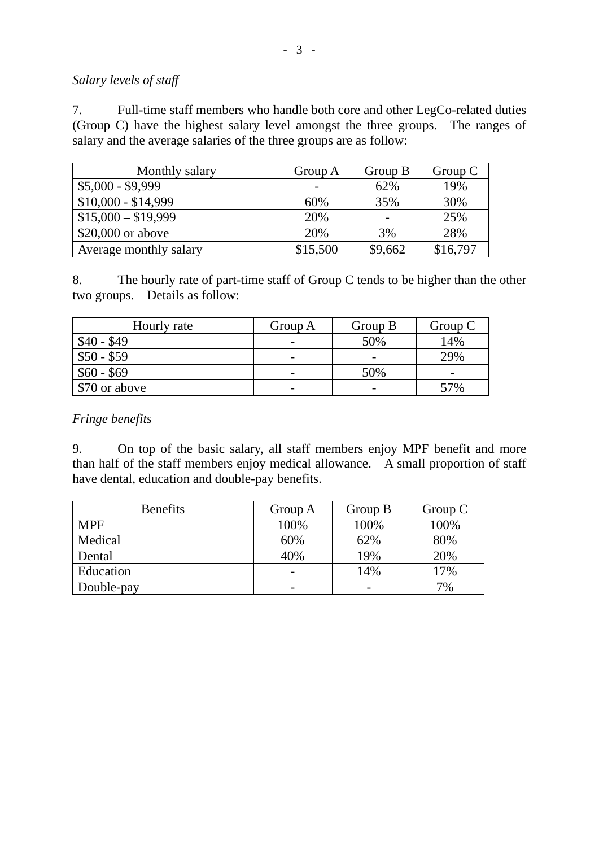#### *Salary levels of staff*

7. Full-time staff members who handle both core and other LegCo-related duties (Group C) have the highest salary level amongst the three groups. The ranges of salary and the average salaries of the three groups are as follow:

| Monthly salary         | Group A  | Group B | Group $C$ |
|------------------------|----------|---------|-----------|
| $$5,000 - $9,999$      |          | 62%     | 19%       |
| $$10,000 - $14,999$    | 60%      | 35%     | 30%       |
| $$15,000 - $19,999$    | 20%      |         | 25%       |
| \$20,000 or above      | 20%      | 3%      | 28%       |
| Average monthly salary | \$15,500 | \$9,662 | \$16,797  |

8. The hourly rate of part-time staff of Group C tends to be higher than the other two groups. Details as follow:

| Hourly rate   | Group A                  | Group B | Group $C$                |
|---------------|--------------------------|---------|--------------------------|
| $$40 - $49$   |                          | 50%     | 14%                      |
| $$50 - $59$   | -                        |         | 29%                      |
| $$60 - $69$   | $\overline{\phantom{0}}$ | 50%     | $\overline{\phantom{0}}$ |
| \$70 or above | -                        | -       | 57%                      |

#### *Fringe benefits*

9. On top of the basic salary, all staff members enjoy MPF benefit and more than half of the staff members enjoy medical allowance. A small proportion of staff have dental, education and double-pay benefits.

| <b>Benefits</b> | Group A | Group B                  | Group C |
|-----------------|---------|--------------------------|---------|
| <b>MPF</b>      | 100%    | 100%                     | 100%    |
| Medical         | 60%     | 62%                      | 80%     |
| Dental          | 40%     | 19%                      | 20%     |
| Education       | -       | 14%                      | 17%     |
| Double-pay      | -       | $\overline{\phantom{0}}$ | 7%      |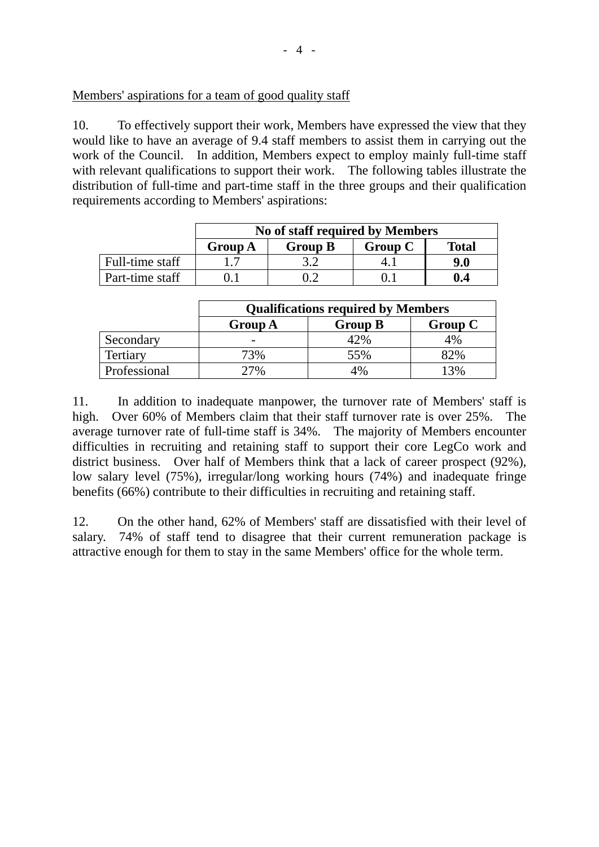#### Members' aspirations for a team of good quality staff

10. To effectively support their work, Members have expressed the view that they would like to have an average of 9.4 staff members to assist them in carrying out the work of the Council. In addition, Members expect to employ mainly full-time staff with relevant qualifications to support their work. The following tables illustrate the distribution of full-time and part-time staff in the three groups and their qualification requirements according to Members' aspirations:

|                 | No of staff required by Members |                |         |              |
|-----------------|---------------------------------|----------------|---------|--------------|
|                 | <b>Group A</b>                  | <b>Group B</b> | Group C | <b>Total</b> |
| Full-time staff |                                 |                |         | 9.0          |
| Part-time staff |                                 |                |         | 0.4          |

|              | <b>Qualifications required by Members</b> |                |         |
|--------------|-------------------------------------------|----------------|---------|
|              | <b>Group A</b>                            | <b>Group B</b> | Group C |
| Secondary    |                                           | 12%            | 4%      |
| Tertiary     | 73%                                       | 55%            | 82%     |
| Professional | 7%                                        | 4%             | 3%      |

11. In addition to inadequate manpower, the turnover rate of Members' staff is high. Over 60% of Members claim that their staff turnover rate is over 25%. The average turnover rate of full-time staff is 34%. The majority of Members encounter difficulties in recruiting and retaining staff to support their core LegCo work and district business. Over half of Members think that a lack of career prospect (92%), low salary level (75%), irregular/long working hours (74%) and inadequate fringe benefits (66%) contribute to their difficulties in recruiting and retaining staff.

12. On the other hand, 62% of Members' staff are dissatisfied with their level of salary. 74% of staff tend to disagree that their current remuneration package is attractive enough for them to stay in the same Members' office for the whole term.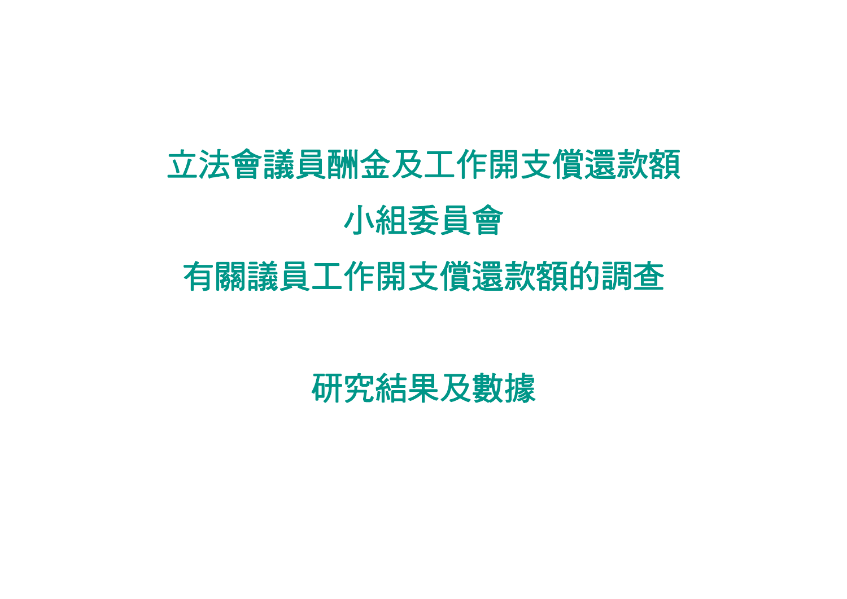# 立法會議員酬金及工作開支償還款額 小組委員會

# 有關議員工作開支償還款額的調查

研究結果及數據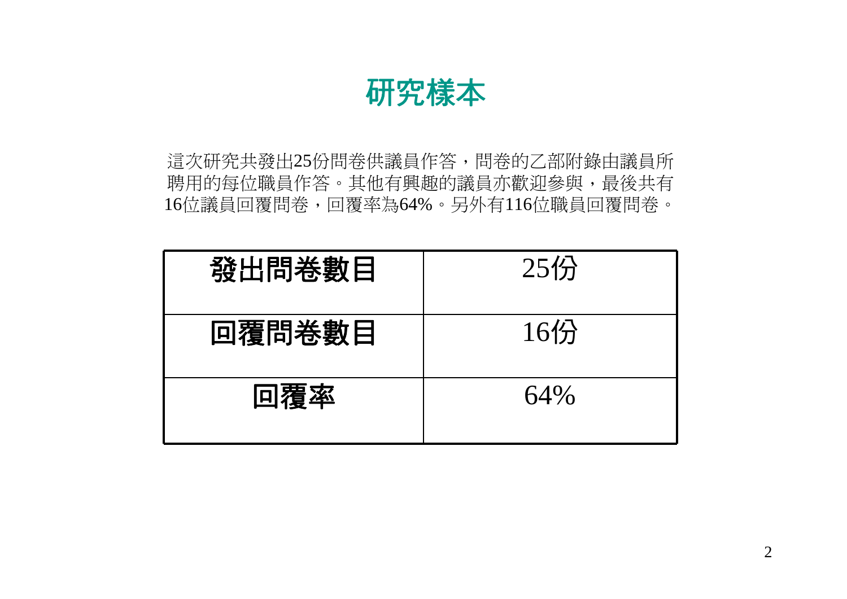研究樣本

這次研究共發出25份問卷供議員作答,問卷的乙部附錄由議員所 聘用的每位職員作答。其他有興趣的議員亦歡迎參與,最後共有 16位議員回覆問卷,回覆率為64%。另外有116位職員回覆問卷。

| 發出問卷數目 | $25$ 份 |
|--------|--------|
| 回覆問卷數目 | $16$ 分 |
| 回覆率    | 64%    |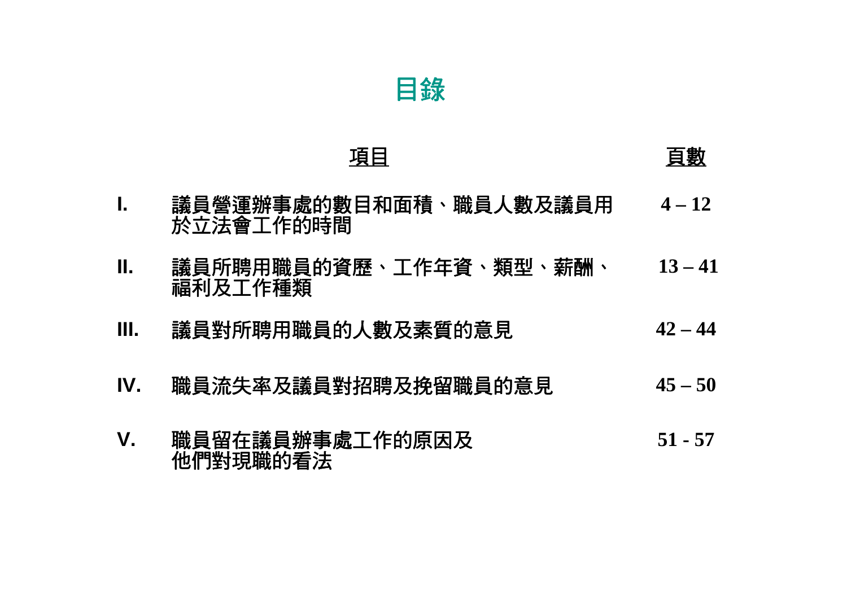### 項目 こうしょう うちのう 百數

- **I.**議員營運辦事處的數目和面積、職員人數及議員用 **4 – 12** 於立法會工作的時間
- **II.**議員所聘用職員的資歷、工作年資、類型、薪酬、 **13 – 41** 福利及工作種類
- **III.**議員對所聘用職員的人數及素質的意見 **42 – 44**
- **IV.**職員流失率及議員對招聘及挽留職員的意見 **45 – 50**
- **V.**職員留在議員辦事處工作的原因及 **51 - 57** 他們對現職的看法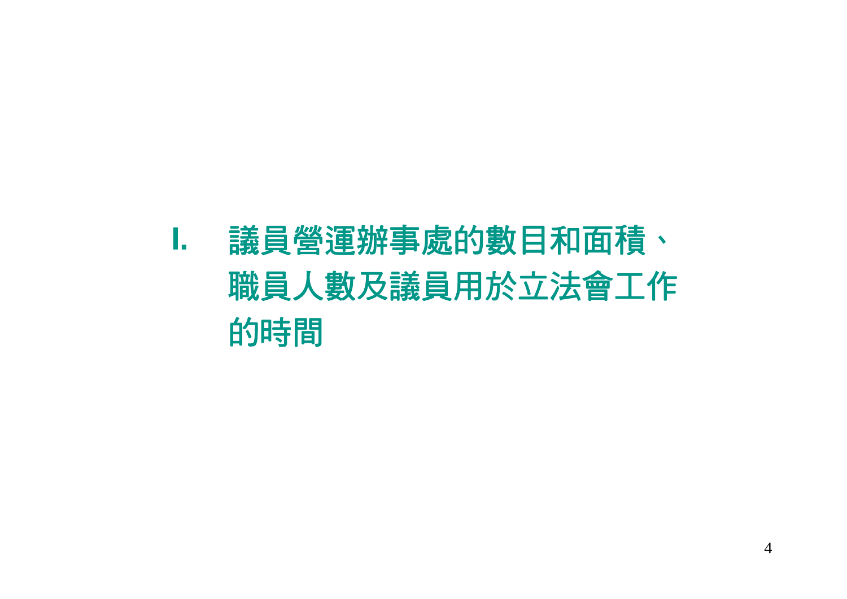### **I.** 議員營運辦事處的數目和面積、 職員人數及議員用於立法會工作 的時間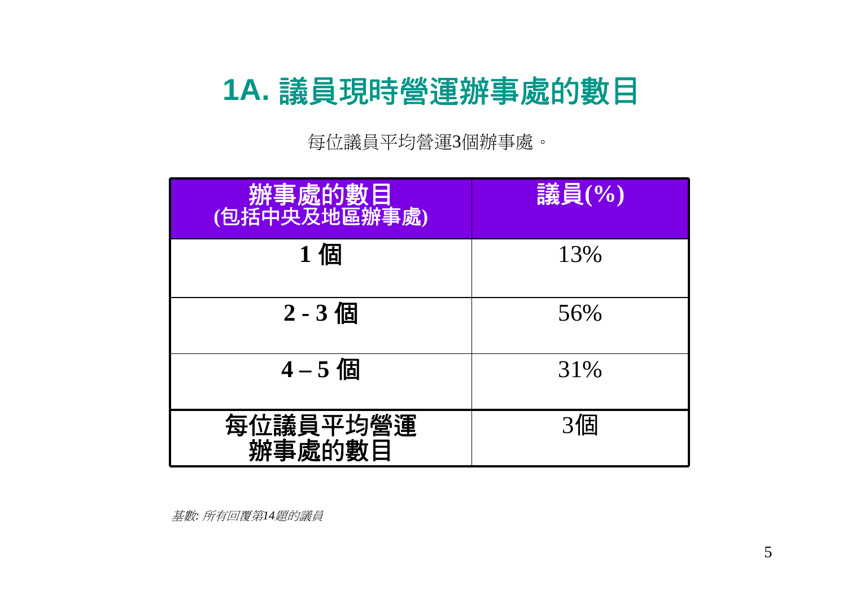### **1A.** 議員現時營運辦事處的數目

每位議員平均營運3個辦事處。

| 辦事處的數目<br>(包括中央及地區辦事處) | 議員(%) |
|------------------------|-------|
| 1個                     | 13%   |
| $2 - 3$ 個              | 56%   |
| $4 - 5$ 個              | 31%   |
| 每位議員平均營運<br>辦事處的數目     | 3個    |

基數*:* 所有回覆第*14*題的議員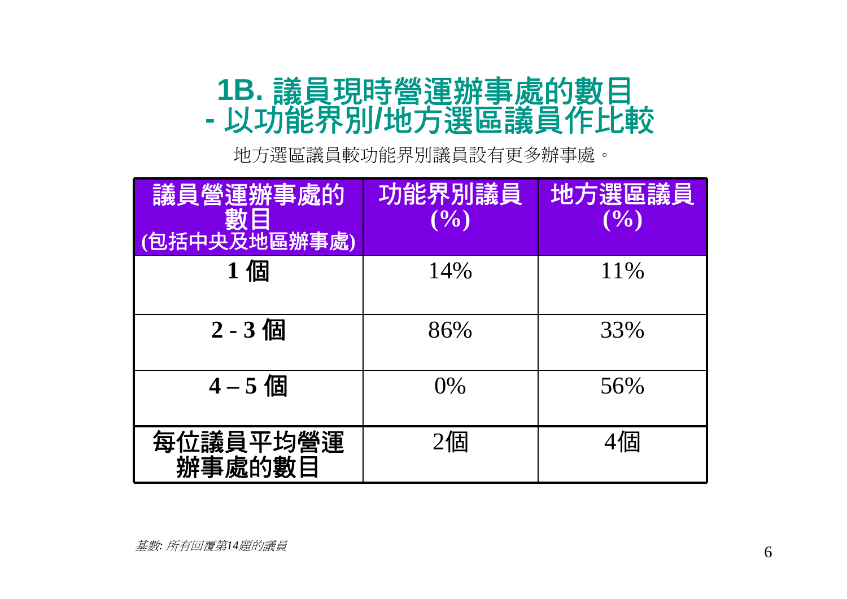### **1B.** 議員現時營運辦事處的數目 以功能界別**/**地方選區議員作比較

地方選區議員較功能界別議員設有更多辦事處。

| 議員營運辦事處的<br>數目<br>(包括中央及地區辦事處) | 功能界別議員<br>(9/0) | 地方選區議員<br>(9/0) |
|--------------------------------|-----------------|-----------------|
| 1個                             | 14%             | 11\%            |
| 2-3個                           | 86%             | 33%             |
| $4 - 5$ 個                      | $0\%$           | 56%             |
| 每位議員平均營運<br>辦事處的數目             | $2$ 個           | 4個              |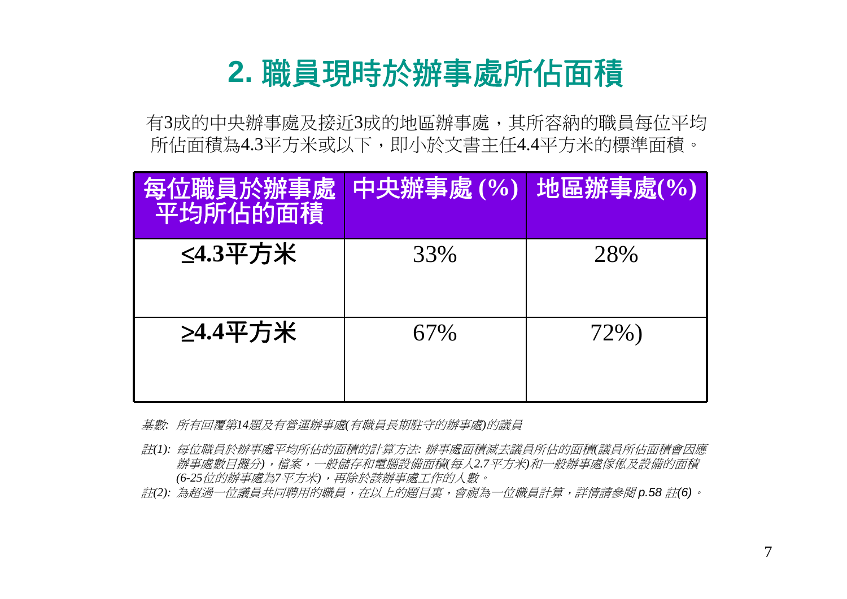### **2.** 職員現時於辦事處所佔面積

有3成的中央辦事處及接近3成的地區辦事處,其所容納的職員每位平均 所佔面積為4.3平方米或以下,即小於文書主任4.4平方米的標準面積。

| 每位職員於辦事處 中央辦事處 (%) 地區辦事處(%)<br>平均所佔的面積 |     |      |
|----------------------------------------|-----|------|
| ≤4.3平方米                                | 33% | 28%  |
| ≥4.4平方米                                | 67% | 72%) |

- 基數*:* 所有回覆第*14*題及有營運辦事處*(*有職員長期駐守的辦事處*)*的議員
- 註*(1):* 每位職員於辦事處平均所佔的面積的計算方法*:* 辦事處面積減去議員所佔的面積*(*議員所佔面積會因應 辦事處數目攤分*)*,檔案,一般儲存和電腦設備面積*(*每人*2.7*平方米*)*和一般辦事處傢俬及設備的面積 *(6-25*位的辦事處為*7*平方米*)*,再除於該辦事處工作的人數。
- 註*(2):* 為超過一位議員共同聘用的職員,在以上的題目裏,會視為一位職員計算,詳情請參閱 *p.58* 註*(6)*。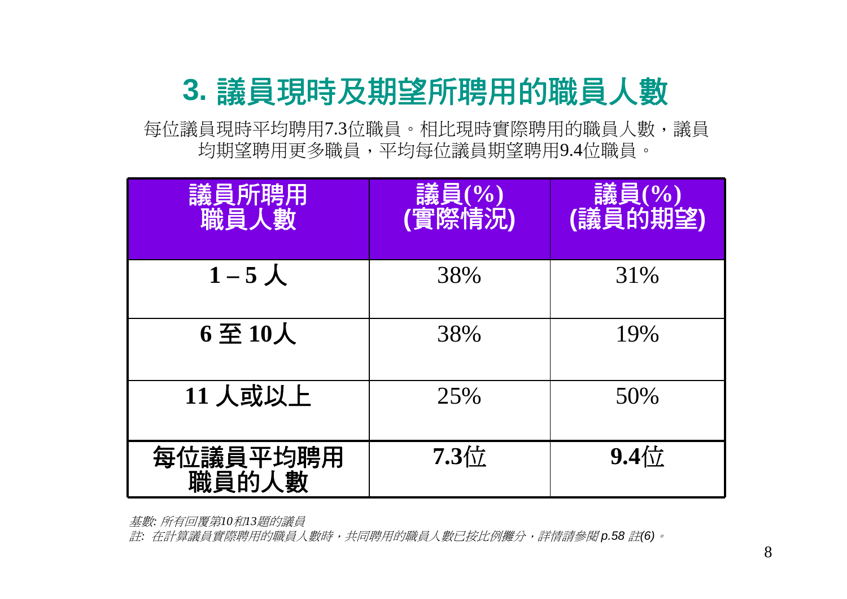### **3.** 議員現時及期望所聘用的職員人數

每位議員現時平均聘用7.3位職員。相比現時實際聘用的職員人數,議員 均期望聘用更多職員,平均每位議員期望聘用9.4位職員。

| 議員所聘用<br>職員人數     | 議員(%)<br>(實際情況) | 議員(%)<br>(議員的期望) |
|-------------------|-----------------|------------------|
| $1-5\lambda$      | 38%             | 31%              |
| 6至10人             | 38%             | 19%              |
| 11 人或以上           | 25%             | 50%              |
| 每位議員平均聘用<br>職員的人數 | 7.3位            | $9.4$ 位          |

基數*:* 所有回覆第*10*和*13*題的議員

註*:* 在計算議員實際聘用的職員人數時,共同聘用的職員人數已按比例攤分,詳情請參閱 *p.58* 註*(6)*。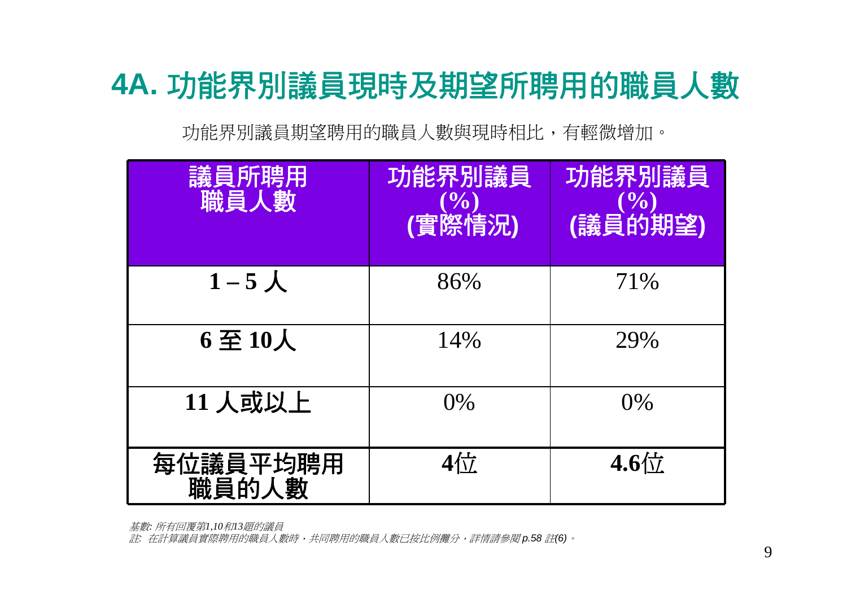# **4A.** 功能界別議員現時及期望所聘用的職員人數

功能界別議員期望聘用的職員人數與現時相比,有輕微增加。

| 議員所聘用<br>職員人數                                            | 功能界別議員<br>$\sqrt{0}$<br>(實際情況) | 功能界別議員<br>0%<br>(議員的期望) |
|----------------------------------------------------------|--------------------------------|-------------------------|
| $1-5\lambda$                                             | 86%                            | 71%                     |
| $6 \underline{\mathfrak{D}} 10 \underline{\mathfrak{L}}$ | 14%                            | 29%                     |
| $11$ 人或以上                                                | $0\%$                          | $0\%$                   |
| 每位議員平均聘用<br>職員的人數                                        | $4\frac{1}{1}$                 | $4.6\frac{1}{11}$       |

基數*:* 所有回覆第*1,10*和*13*題的議員

註*:* 在計算議員實際聘用的職員人數時,共同聘用的職員人數已按比例攤分,詳情請參閱 *p.58* 註*(6)*。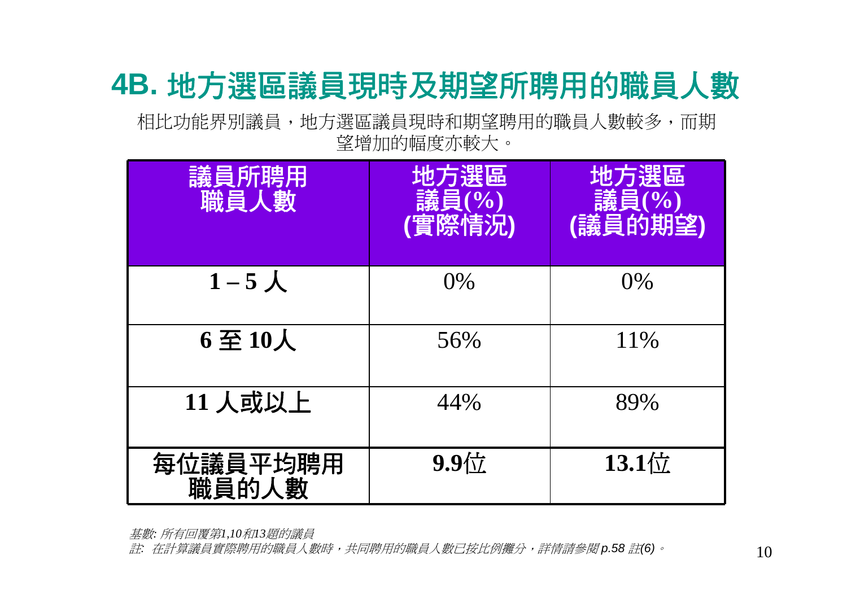### **4B.** 地方選區議員現時及期望所聘用的職員人數

相比功能界別議員,地方選區議員現時和期望聘用的職員人數較多,而期 望增加的幅度亦較大。

| 議員所聘用<br>職員人數                     | 地方選區<br>議員(%)<br>(實際情況) | 地方選區<br>議員(%) |
|-----------------------------------|-------------------------|---------------|
| $1-5$ 人                           | $0\%$                   | $0\%$         |
| $6 \underline{\mathfrak{D}} 10$ 人 | 56%                     | 11\%          |
| $11 \overline{\lambda}$ 或以上       | 44%                     | 89%           |
| 每位議員平均聘用<br>職員的人數                 | $9.9$ 位                 | $13.1$ 位      |

基數*:* 所有回覆第*1,10*和*13*題的議員

註*:* 在計算議員實際聘用的職員人數時,共同聘用的職員人數已按比例攤分,詳情請參閱 *p.58* 註*(6)*。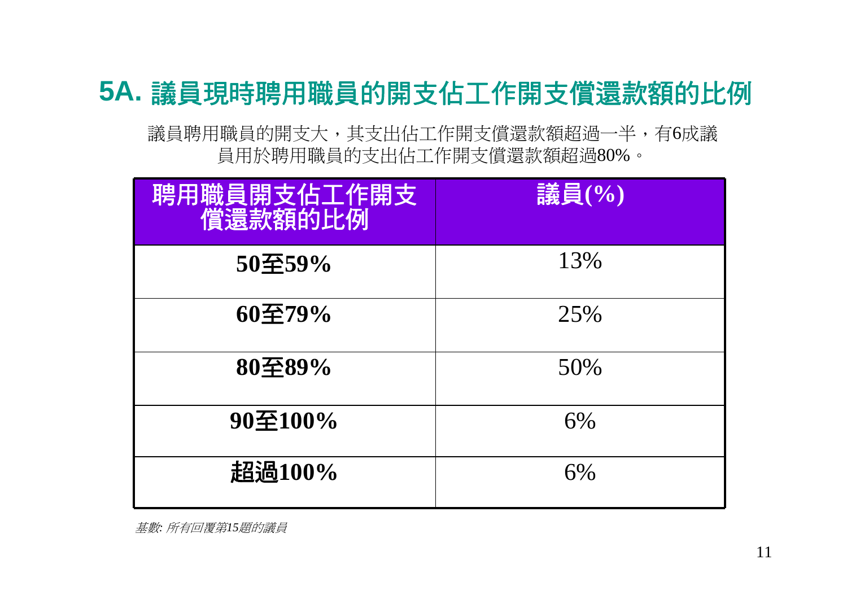### **5A.** 議員現時聘用職員的開支佔工作開支償還款額的比例

議員聘用職員的開支大,其支出佔工作開支償還款額超過一半,有6成議 員用於聘用職員的支出佔工作開支償還款額超過80%。

| 聘用職員開支佔工作開支<br>償還款額的比例  | 議員(%) |
|-------------------------|-------|
| 50至59%                  | 13%   |
| $60\overline{\le}79\%$  | 25%   |
| 80至89%                  | 50%   |
| $90\overline{\pm}100\%$ | 6%    |
| 超過100%                  | 6%    |

基數*:* 所有回覆第*15*題的議員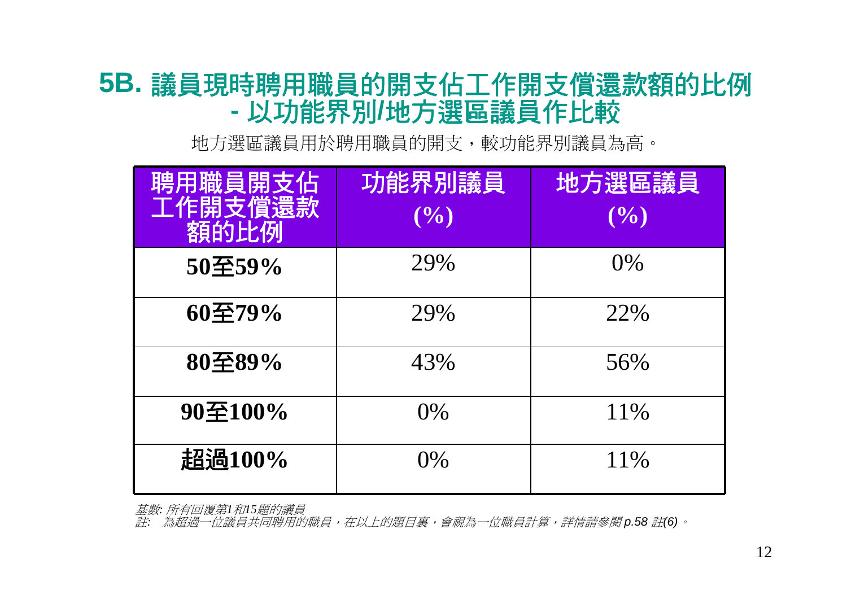### **5B.** 議員現時聘用職員的開支佔工作開支償還款額的比例 **-**以功能界別**/**地方選區議員作比較

地方選區議員用於聘用職員的開支,較功能界別議員為高。

| 聘用職員開支佔<br>工作開支償還款<br>額的比例 | 功能界別議員<br>(9/0) | 地方選區議員<br>(9/0) |
|----------------------------|-----------------|-----------------|
| 50至59%                     | 29%             | $0\%$           |
| 60至79%                     | 29%             | 22%             |
| 80至89%                     | 43%             | 56%             |
| $90\overline{\pm}100\%$    | $0\%$           | 11\%            |
| 超過100%                     | $0\%$           | 11%             |

基數*:* 所有回覆第*1*和*15*題的議員

註*:* 為超過一位議員共同聘用的職員,在以上的題目裏,會視為一位職員計算,詳情請參閱 *p.58* 註*(6)*。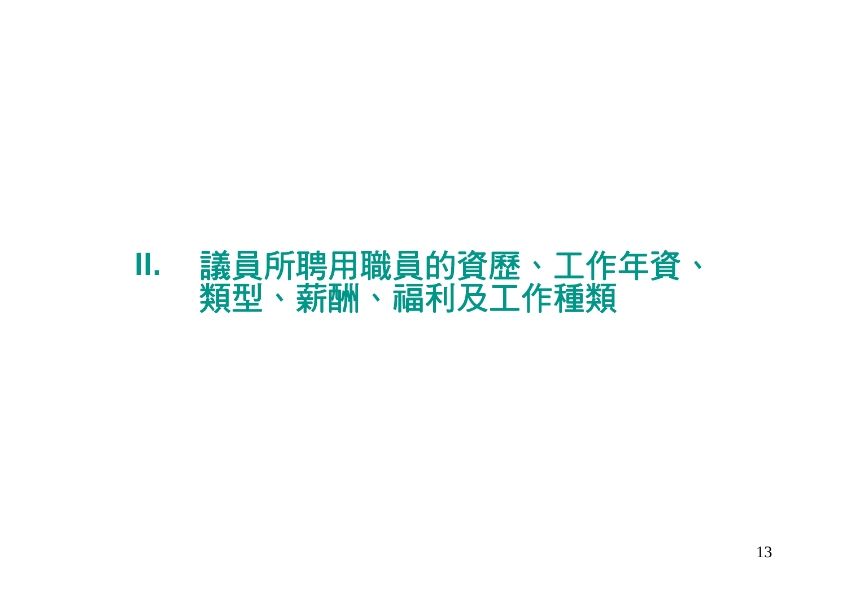### **II.** 議員所聘用職員的資歷、工作年資、 類型、薪酬、福利及工作種類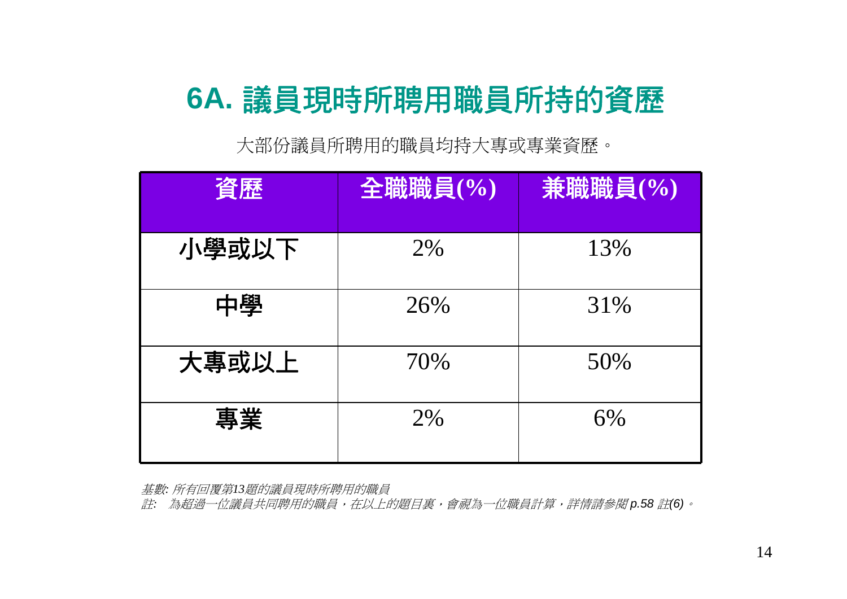# **6A.** 議員現時所聘用職員所持的資歷

大部份議員所聘用的職員均持大專或專業資歷。

| 資歷    | 全職職員(%) | 兼職職員(%) |
|-------|---------|---------|
| 小學或以下 | 2%      | 13%     |
| 中學    | 26%     | 31%     |
| 大專或以上 | 70%     | 50%     |
| 專業    | 2%      | 6%      |

基數*:* 所有回覆第*13*題的議員現時所聘用的職員

註*:* 為超過一位議員共同聘用的職員,在以上的題目裏,會視為一位職員計算,詳情請參閱 *p.58* 註*(6)*。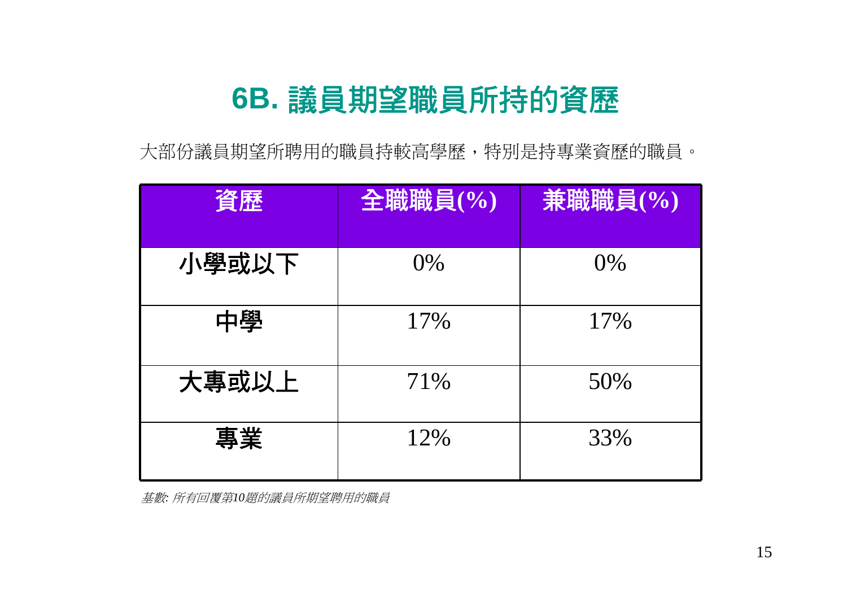### **6B.** 議員期望職員所持的資歷

大部份議員期望所聘用的職員持較高學歷,特別是持專業資歷的職員。

| 資歷    | 全職職員(%) | 兼職職員(%) |
|-------|---------|---------|
|       |         |         |
| 小學或以下 | 0%      | 0%      |
| 中學    | 17%     | 17%     |
| 大專或以上 | 71%     | 50%     |
| 專業    | 12%     | 33%     |

基數*:* 所有回覆第*10*題的議員所期望聘用的職員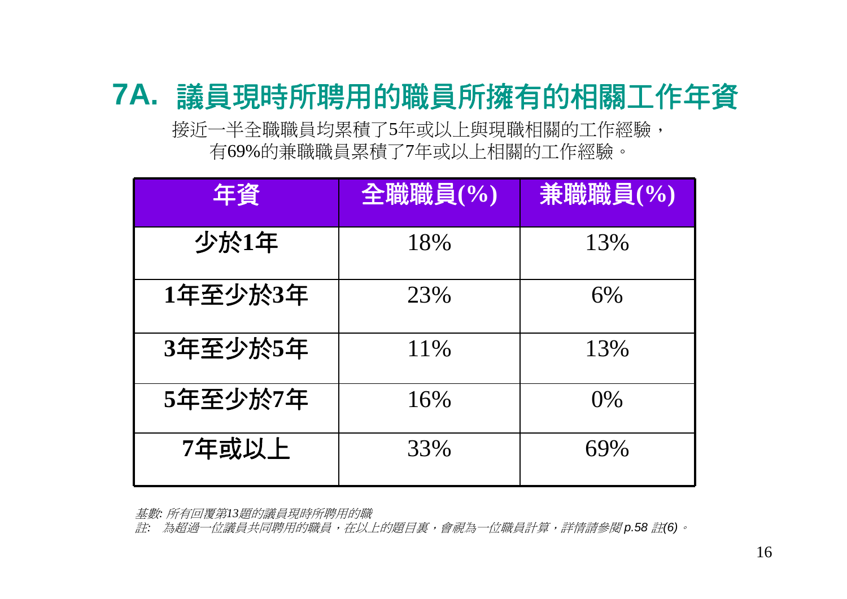### **7A.** 議員現時所聘用的職員所擁有的相關工作年資

接近一半全職職員均累積了5年或以上與現職相關的工作經驗, 有69%的兼職職員累積了7年或以上相關的工作經驗。

| 年資      | 全職職員(%) | 兼職職員(%) |
|---------|---------|---------|
| 少於1年    | 18%     | 13%     |
| 1年至少於3年 | 23%     | 6%      |
| 3年至少於5年 | 11\%    | 13%     |
| 5年至少於7年 | 16%     | $0\%$   |
| 7年或以上   | 33%     | 69%     |

基數*:* 所有回覆第*13*題的議員現時所聘用的職

註*:* 為超過一位議員共同聘用的職員,在以上的題目裏,會視為一位職員計算,詳情請參閱 *p.58* 註*(6)*。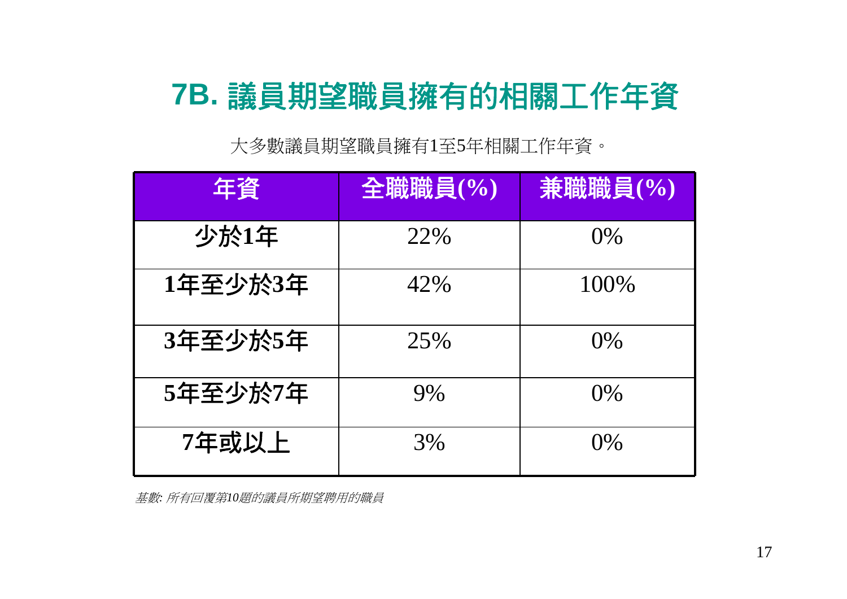## **7B.** 議員期望職員擁有的相關工作年資

大多數議員期望職員擁有1至5年相關工作年資。

| 年資      | 全職職員(%) | 兼職職員(%) |
|---------|---------|---------|
| 少於1年    | 22%     | $0\%$   |
| 1年至少於3年 | 42%     | 100\%   |
| 3年至少於5年 | 25%     | $0\%$   |
| 5年至少於7年 | 9%      | $0\%$   |
| 7年或以上   | 3%      | $()$ %  |

基數*:* 所有回覆第*10*題的議員所期望聘用的職員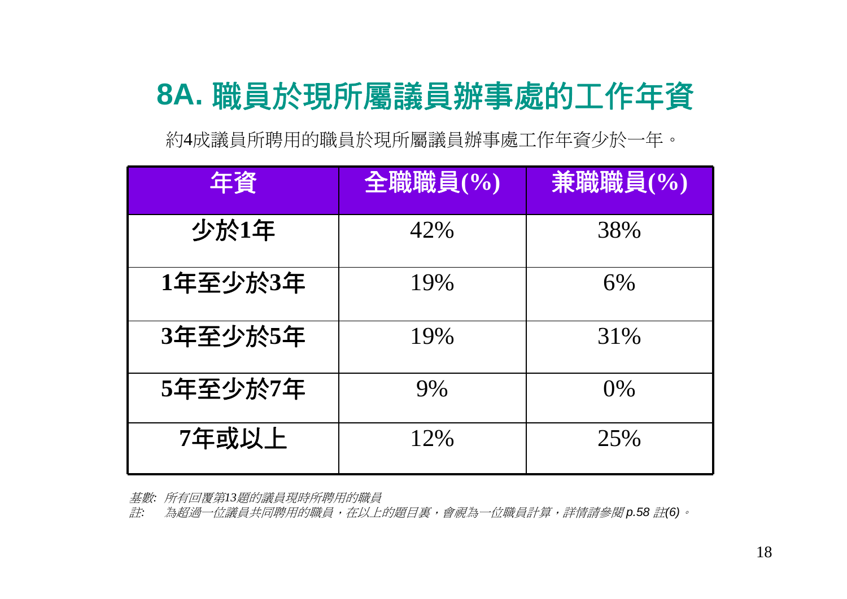## **8A.** 職員於現所屬議員辦事處的工作年資

約4成議員所聘用的職員於現所屬議員辦事處工作年資少於一年。

| 年資      | 全職職員(%) | 兼職職員(%) |
|---------|---------|---------|
| 少於1年    | 42%     | 38%     |
| 1年至少於3年 | 19%     | 6%      |
| 3年至少於5年 | 19%     | 31%     |
| 5年至少於7年 | 9%      | $0\%$   |
| 7年或以上   | 12%     | 25%     |

基數*:* 所有回覆第*13*題的議員現時所聘用的職員

註*:* 為超過一位議員共同聘用的職員,在以上的題目裏,會視為一位職員計算,詳情請參閱 *p.58* 註*(6)*。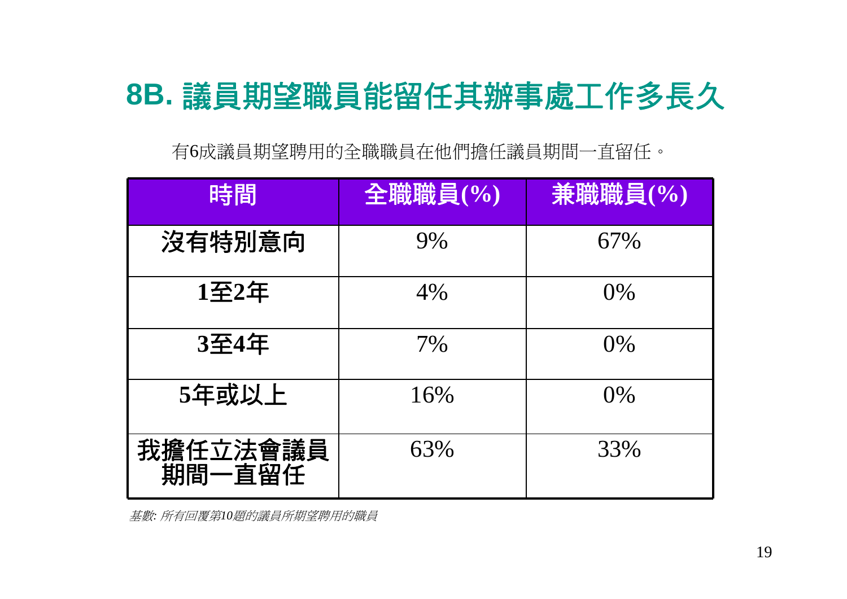# **8B.** 議員期望職員能留任其辦事處工作多長久

有6成議員期望聘用的全職職員在他們擔任議員期間一直留任。

| 時間                 | 全職職員(%) | 兼職職員(%) |
|--------------------|---------|---------|
| 沒有特別意向             | 9%      | 67%     |
| 1至2年               | 4%      | $0\%$   |
| 3至4年               | 7%      | $0\%$   |
| 5年或以上              | 16%     | $0\%$   |
| 我擔任立法會議員<br>期間一直留任 | 63%     | 33%     |

基數*:* 所有回覆第*10*題的議員所期望聘用的職員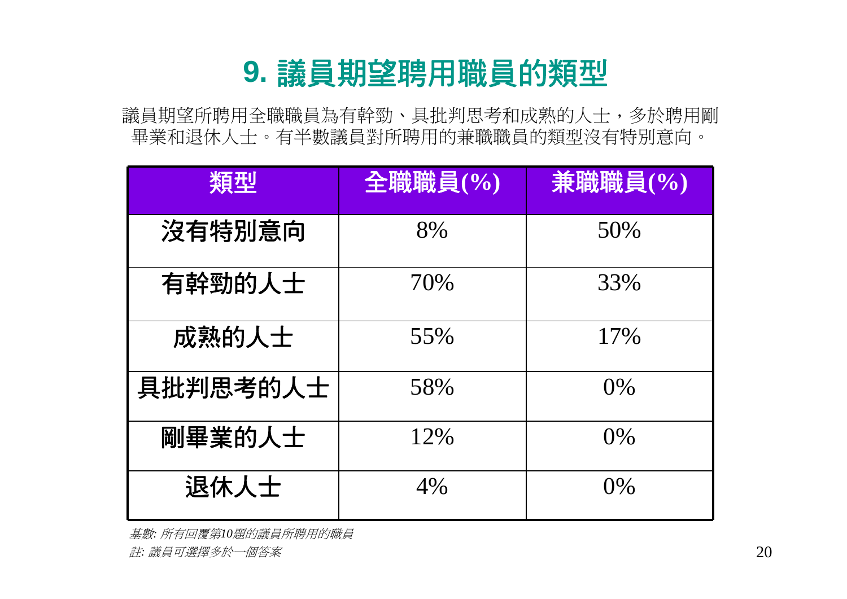### **9.** 議員期望聘用職員的類型

議員期望所聘用全職職員為有幹勁、具批判思考和成熟的人士,多於聘用剛 畢業和退休人士。有半數議員對所聘用的兼職職員的類型沒有特別意向。

| 類型       | 全職職員(%) | 兼職職員(%) |
|----------|---------|---------|
| 沒有特別意向   | 8%      | 50%     |
| 有幹勁的人士   | 70%     | 33%     |
| 成熟的人士    | 55%     | 17%     |
| 具批判思考的人士 | 58%     | 0%      |
| 剛畢業的人士   | 12%     | 0%      |
| 退休人士     | 4%      | 0%      |

基數*:* 所有回覆第*10*題的議員所聘用的職員 註*:* 議員可選擇多於一個答案 20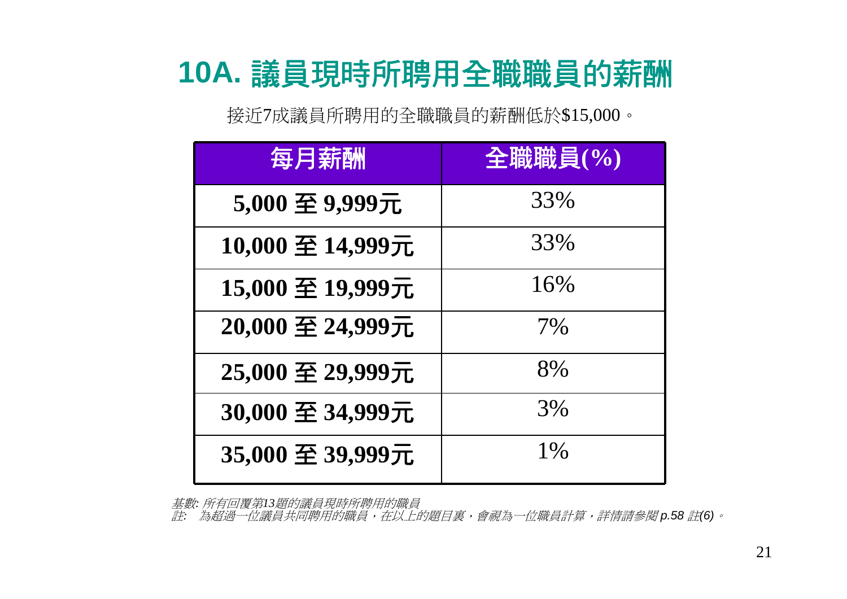## **10A.** 議員現時所聘用全職職員的薪酬

接近7成議員所聘用的全職職員的薪酬低於\$15,000。

| 每月薪酬             | 全職職員(%) |
|------------------|---------|
| 5,000 至 9,999元   | 33%     |
| 10,000 至 14,999元 | 33%     |
| 15,000 至 19,999元 | 16%     |
| 20,000 至 24,999元 | 7%      |
| 25,000 至 29,999元 | 8%      |
| 30,000 至 34,999元 | 3%      |
| 35,000 至 39,999元 | 1%      |

基數*:* 所有回覆第*13*題的議員現時所聘用的職員

註*:* 為超過一位議員共同聘用的職員,在以上的題目裏,會視為一位職員計算,詳情請參閱 *p.58* 註*(6)*。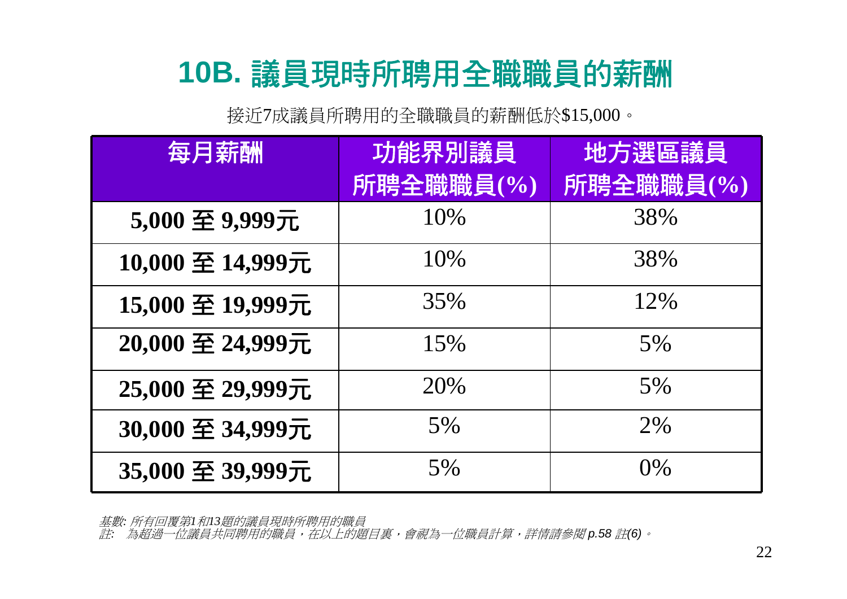# **10B.** 議員現時所聘用全職職員的薪酬

接近7成議員所聘用的全職職員的薪酬低於\$15,000。

| 每月薪酬             | 功能界別議員    | 地方選區議員    |
|------------------|-----------|-----------|
|                  | 所聘全職職員(%) | 所聘全職職員(%) |
| 5,000 至 9,999元   | 10%       | 38%       |
| 10,000 至 14,999元 | 10%       | 38%       |
| 15,000 至 19,999元 | 35%       | 12%       |
| 20,000 至 24,999元 | 15%       | 5%        |
| 25,000 至 29,999元 | 20%       | 5%        |
| 30,000 至 34,999元 | 5%        | 2%        |
| 35,000 至 39,999元 | 5%        | $0\%$     |

基數*:* 所有回覆第*1*和*13*題的議員現時所聘用的職員

註*:* 為超過一位議員共同聘用的職員,在以上的題目裏,會視為一位職員計算,詳情請參閱 *p.58* 註*(6)*。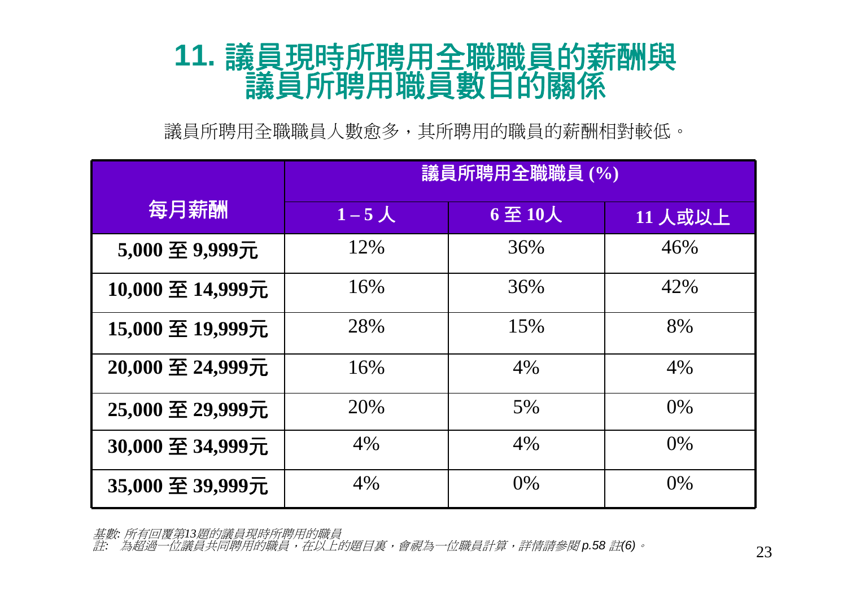# **11.** 議員現時所聘用全職職員的薪酬與 議員所聘用職員數目的關係

議員所聘用全職職員人數愈多,其所聘用的職員的薪酬相對較低。

|                  | 議員所聘用全職職員 (%) |                                   |         |
|------------------|---------------|-----------------------------------|---------|
| 每月薪酬             | $1-5$ 人       | $6 \underline{\mathfrak{D}} 10$ 人 | 11 人或以上 |
| 5,000 至 9,999元   | 12%           | 36%                               | 46%     |
| 10,000 至 14,999元 | 16%           | 36%                               | 42%     |
| 15,000 至 19,999元 | 28%           | 15%                               | 8%      |
| 20,000 至 24,999元 | 16%           | 4%                                | 4%      |
| 25,000 至 29,999元 | 20%           | 5%                                | $0\%$   |
| 30,000 至 34,999元 | 4%            | 4%                                | $0\%$   |
| 35,000 至 39,999元 | 4%            | $0\%$                             | $0\%$   |

基數*:* 所有回覆第*13*題的議員現時所聘用的職員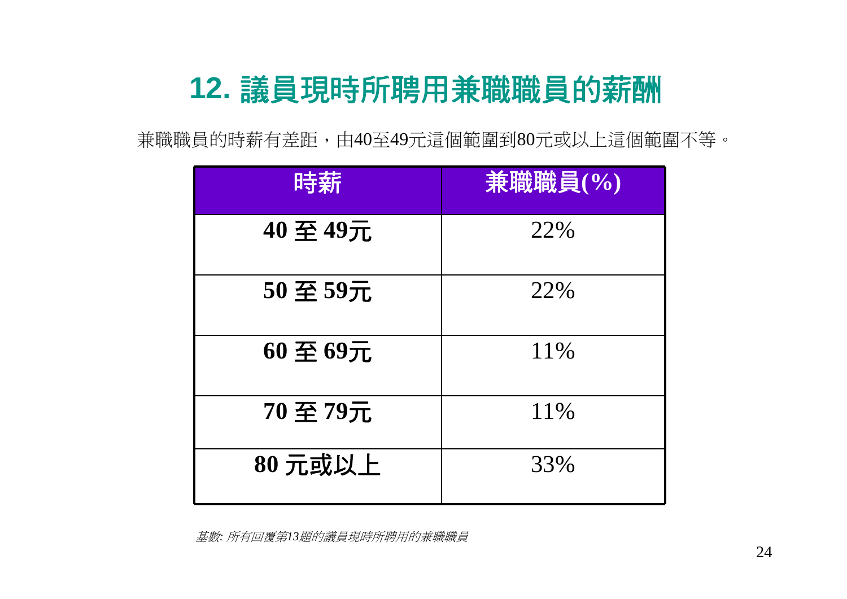# **12.** 議員現時所聘用兼職職員的薪酬

兼職職員的時薪有差距,由40至49元這個範圍到80元或以上這個範圍不等。

| 時薪       | 兼職職員(%) |
|----------|---------|
| 40至49元   | 22%     |
| 50至59元   | 22%     |
| 60至69元   | 11\%    |
| 70 至 79元 | 11%     |
| 80元或以上   | 33%     |

基數*:* 所有回覆第*13*題的議員現時所聘用的兼職職員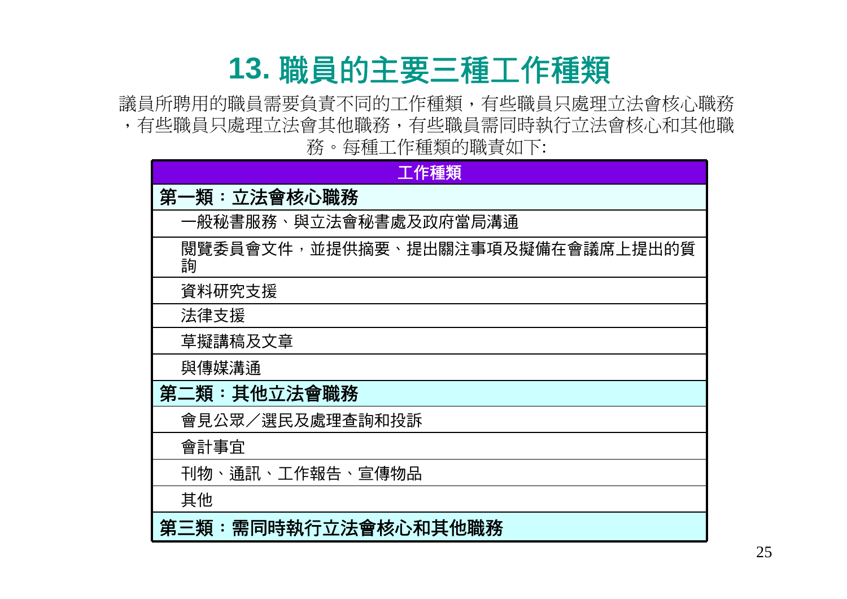### **13.** 職員的主要三種工作種類

議員所聘用的職員需要負責不同的工作種類,有些職員只處理立法會核心職務 ,有些職員只處理立法會其他職務,有些職員需同時執行立法會核心和其他職 務。每種工作種類的職責如下:

| 工作種類                                  |
|---------------------------------------|
| 第一類:立法會核心職務                           |
| 一般秘書服務、與立法會秘書處及政府當局溝通                 |
| 閱覽委員會文件,並提供摘要、提出關注事項及擬備在會議席上提出的質<br>詢 |
| 資料研究支援                                |
| 法律支援                                  |
| 草擬講稿及文章                               |
| 與傳媒溝通                                 |
| 第二類:其他立法會職務                           |
| 會見公眾/選民及處理查詢和投訴                       |
| 會計事宜                                  |
| 刊物、通訊、工作報告、宣傳物品                       |
| 其他                                    |
| 第三類:需同時執行立法會核心和其他職務                   |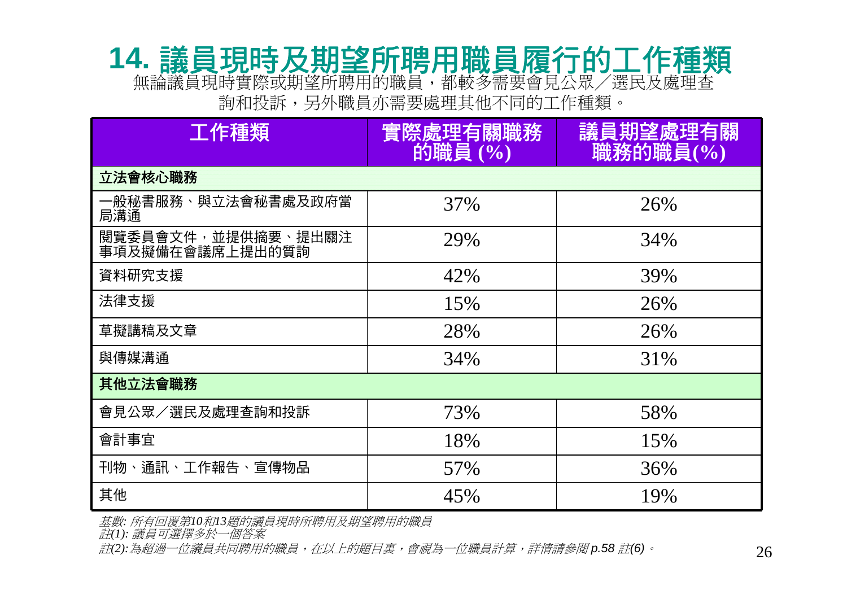### **14.** 議員現時及期望所聘用職員履行的工作種類 無論議員現時實際或期望所聘用的職員,都較多需要會見公眾/選民及處理查

詢和投訴,另外職員亦需要處理其他不同的工作種類。

| 工作種類                                  | 實際處理有關職務<br>的職員 (%) | 議員期望處理有關<br>職務的職員(%) |
|---------------------------------------|---------------------|----------------------|
| 立法會核心職務                               |                     |                      |
| 一般秘書服務、與立法會秘書處及政府當<br>局溝通             | 37%                 | 26%                  |
| 閱覽委員會文件,並提供摘要、提出關注<br>事項及擬備在會議席上提出的質詢 | 29%                 | 34%                  |
| 資料研究支援                                | 42%                 | 39%                  |
| 法律支援                                  | 15%                 | 26%                  |
| 草擬講稿及文章                               | 28%                 | 26%                  |
| 與傳媒溝通                                 | 34%                 | 31%                  |
| 其他立法會職務                               |                     |                      |
| 會見公眾/選民及處理查詢和投訴                       | 73%                 | 58%                  |
| 會計事宜                                  | 18%                 | 15%                  |
| 刊物、通訊、工作報告、宣傳物品                       | 57%                 | 36%                  |
| 其他                                    | 45%                 | 19%                  |

基數*:* 所有回覆第*10*和*13*題的議員現時所聘用及期望聘用的職員

註*(1):* 議員可選擇多於一個答案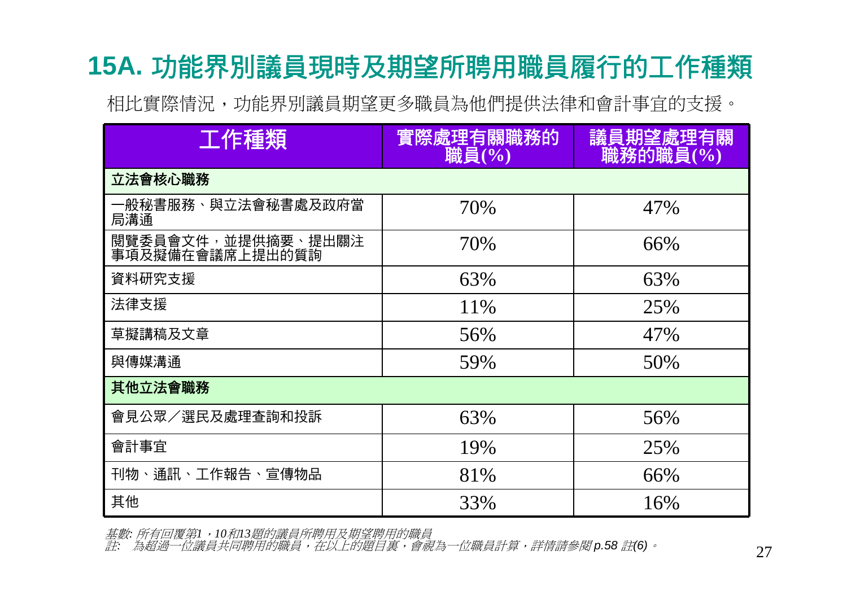### **15A.** 功能界別議員現時及期望所聘用職員履行的工作種類

相比實際情況,功能界別議員期望更多職員為他們提供法律和會計事宜的支援。

| 工作種類                                  | 實際處理有關職務的<br>職員(%) | 議員期望處理有關<br>職務的職員(%) |
|---------------------------------------|--------------------|----------------------|
| 立法會核心職務                               |                    |                      |
| 一般秘書服務、與立法會秘書處及政府當<br>局溝通             | 70%                | 47%                  |
| 閱覽委員會文件,並提供摘要、提出關注<br>事項及擬備在會議席上提出的質詢 | 70%                | 66%                  |
| 資料研究支援                                | 63%                | 63%                  |
| 法律支援                                  | 11\%               | 25%                  |
| 草擬講稿及文章                               | 56%                | 47%                  |
| 與傳媒溝通                                 | 59%                | 50%                  |
| 其他立法會職務                               |                    |                      |
| 會見公眾/選民及處理查詢和投訴                       | 63%                | 56%                  |
| 會計事宜                                  | 19%                | 25%                  |
| 刊物、通訊、工作報告、宣傳物品                       | 81%                | 66%                  |
| 其他                                    | 33%                | 16%                  |

基數*:* 所有回覆第*1*,*10*和*13*題的議員所聘用及期望聘用的職員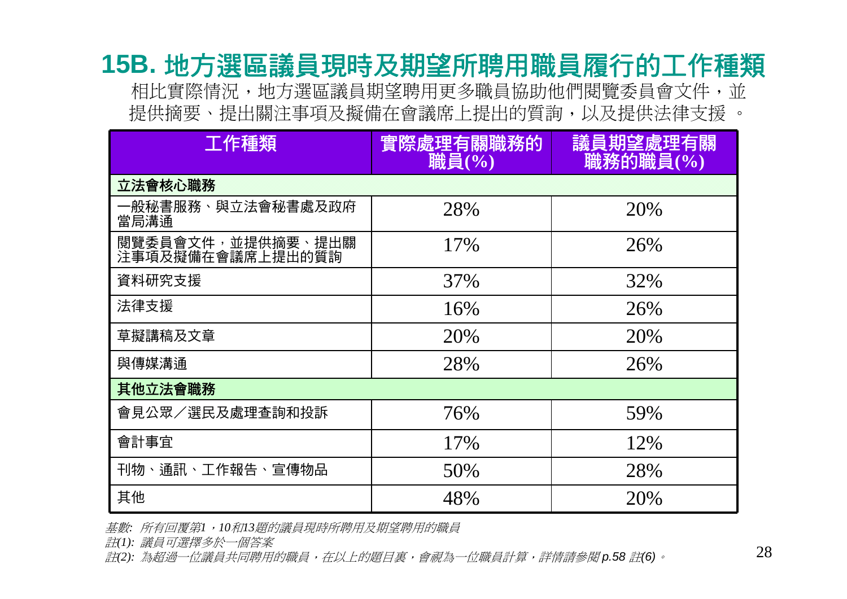### **15B.** 地方選區議員現時及期望所聘用職員履行的工作種類

相比實際情況,地方選區議員期望聘用更多職員協助他們閱覽委員會文件,並 提供摘要、提出關注事項及擬備在會議席上提出的質詢,以及提供法律支援 。

| 工作種類                                  | 實際處理有關職務的<br>職員(%) | 議員期望處理有關<br>職務的職員(%) |
|---------------------------------------|--------------------|----------------------|
| 立法會核心職務                               |                    |                      |
| 一般秘書服務、與立法會秘書處及政府<br>當局溝通             | 28%                | 20%                  |
| 閱覽委員會文件,並提供摘要、提出關<br>注事項及擬備在會議席上提出的質詢 | 17%                | 26%                  |
| 資料研究支援                                | 37%                | 32%                  |
| 法律支援                                  | 16%                | 26%                  |
| 草擬講稿及文章                               | 20%                | 20%                  |
| 與傳媒溝通                                 | 28%                | 26%                  |
| 其他立法會職務                               |                    |                      |
| 會見公眾/選民及處理查詢和投訴                       | 76%                | 59%                  |
| 會計事宜                                  | 17%                | 12%                  |
| 刊物、通訊、工作報告、宣傳物品                       | 50%                | 28%                  |
| 其他                                    | 48%                | 20%                  |

基數*:* 所有回覆第*1*,*10*和*13*題的議員現時所聘用及期望聘用的職員

註*(1):* 議員可選擇多於一個答案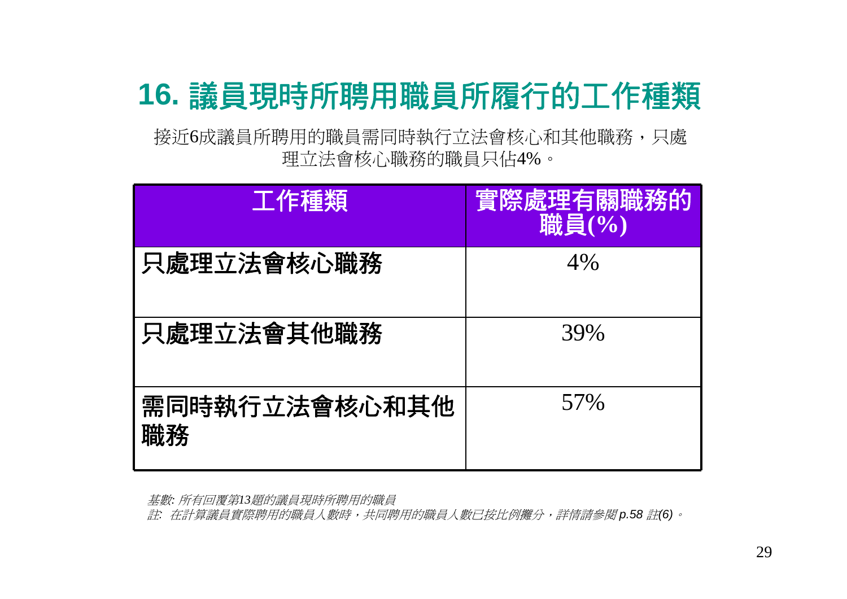# **16.** 議員現時所聘用職員所履行的工作種類

接近6成議員所聘用的職員需同時執行立法會核心和其他職務,只處 理立法會核心職務的職員只佔4%。

| 工作種類                | 實際處理有關職務的<br>職員(%) |
|---------------------|--------------------|
| 只處理立法會核心職務          | 4%                 |
| 只處理立法會其他職務          | 39%                |
| 需同時執行立法會核心和其他<br>職務 | 57%                |

基數*:* 所有回覆第*13*題的議員現時所聘用的職員

註*:* 在計算議員實際聘用的職員人數時,共同聘用的職員人數已按比例攤分,詳情請參閱 *p.58* 註*(6)*。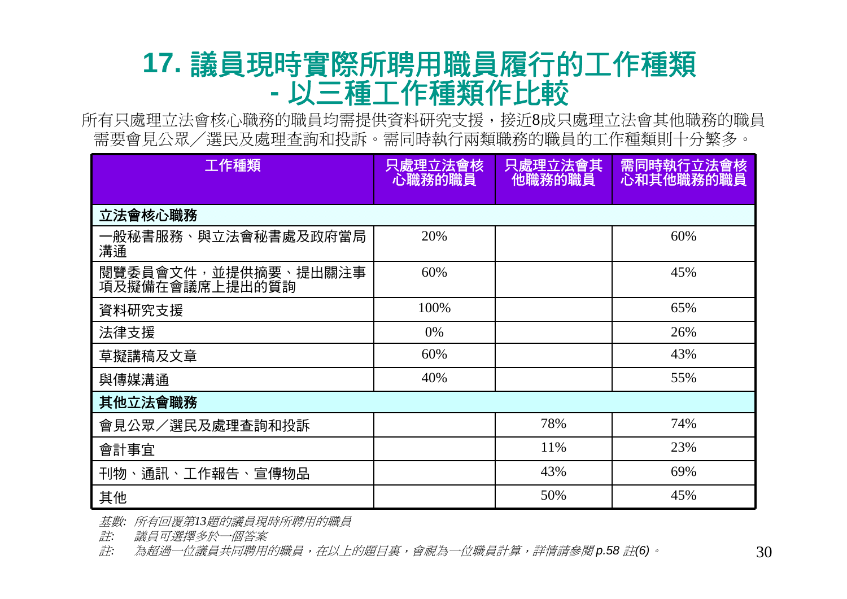#### **17.** 議員現時實際所聘用職員履行的工作種類 **-**以三種工作種類作比較

所有只處理立法會核心職務的職員均需提供資料研究支援,接近8成只處理立法會其他職務的職員 需要會見公眾/選民及處理查詢和投訴。需同時執行兩類職務的職員的工作種類則十分繁多。

| 工作種類                                  | 只處理立法會核<br>心職務的職員 | 只處理立法會其<br>他職務的職員 | 需同時執行立法會核<br>心和其他職務的職員 |
|---------------------------------------|-------------------|-------------------|------------------------|
| 立法會核心職務                               |                   |                   |                        |
| 一般秘書服務、與立法會秘書處及政府當局<br>溝通             | 20%               |                   | 60%                    |
| 閱覽委員會文件,並提供摘要、提出關注事<br>項及擬備在會議席上提出的質詢 | 60%               |                   | 45%                    |
| 資料研究支援                                | 100%              |                   | 65%                    |
| 法律支援                                  | 0%                |                   | 26%                    |
| 草擬講稿及文章                               | 60%               |                   | 43%                    |
| 與傳媒溝通                                 | 40%               |                   | 55%                    |
| 其他立法會職務                               |                   |                   |                        |
| 會見公眾/選民及處理查詢和投訴                       |                   | 78%               | 74%                    |
| 會計事宜                                  |                   | 11%               | 23%                    |
| 刊物、通訊、工作報告、宣傳物品                       |                   | 43%               | 69%                    |
| 其他                                    |                   | 50%               | 45%                    |

基數*:* 所有回覆第*13*題的議員現時所聘用的職員

註*:* 議員可選擇多於一個答案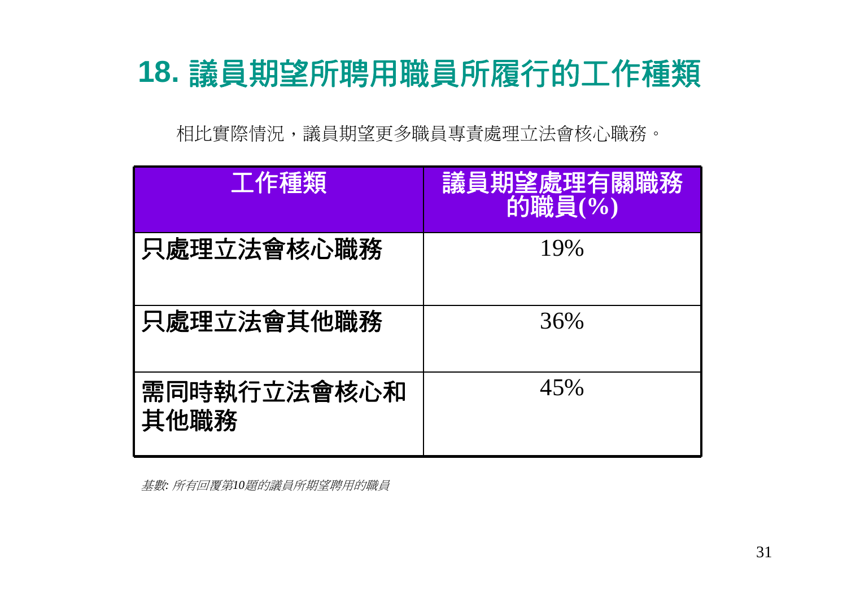### **18.** 議員期望所聘用職員所履行的工作種類

相比實際情況,議員期望更多職員專責處理立法會核心職務。

| 工作種類                | 議員期望處理有關職務<br>的職員(%) |
|---------------------|----------------------|
| 只處理立法會核心職務          | 19%                  |
| 只處理立法會其他職務          | 36%                  |
| 需同時執行立法會核心和<br>其他職務 | 45%                  |

基數*:* 所有回覆第*10*題的議員所期望聘用的職員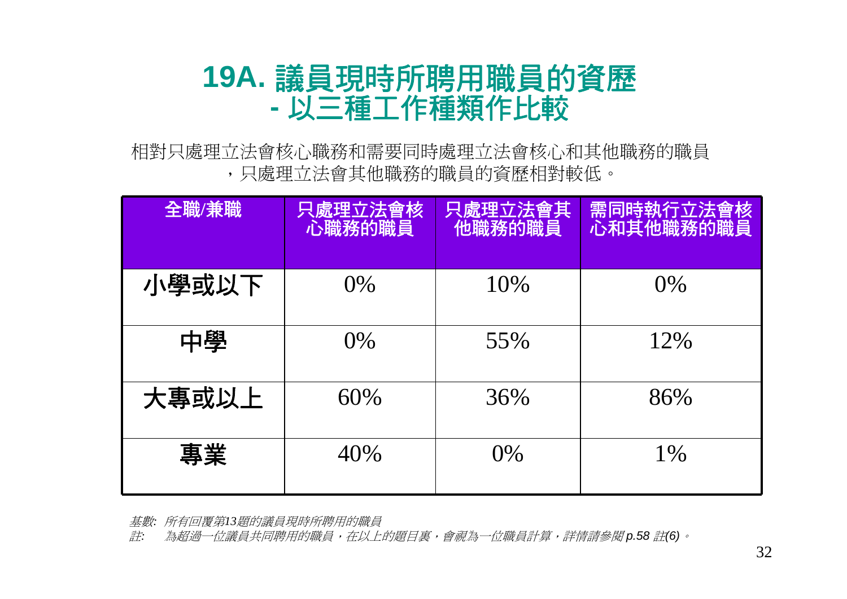#### **19A.** 議員現時所聘用職員的資歷 **-**以三種工作種類作比較

相對只處理立法會核心職務和需要同時處理立法會核心和其他職務的職員 ,只處理立法會其他職務的職員的資歷相對較低。

| 全職/兼職 | 只處理立法會核<br>心職務的職員 | 只處理立法會其<br>他職務的職員 | 需同時執行立法會核<br>心和其他職務的職員 |
|-------|-------------------|-------------------|------------------------|
| 小學或以下 | $0\%$             | 10%               | $0\%$                  |
| 中學    | $0\%$             | 55%               | 12%                    |
| 大專或以上 | 60%               | 36%               | 86%                    |
| 專業    | 40%               | 0%                | $1\%$                  |

基數*:* 所有回覆第*13*題的議員現時所聘用的職員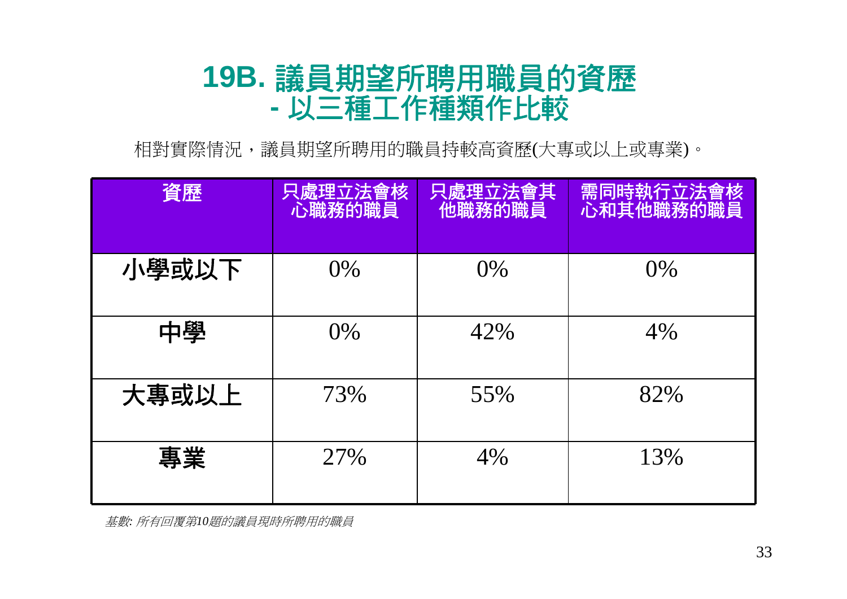#### **19B.** 議員期望所聘用職員的資歷 **-**以三種工作種類作比較

相對實際情況,議員期望所聘用的職員持較高資歷(大專或以上或專業)。

| 資歷    | 只處理立法會核<br>心職務的職員 | 只處理立法會其<br>他職務的職員 | 需同時執行立法會核<br>心和其他職務的職員 |
|-------|-------------------|-------------------|------------------------|
| 小學或以下 | $0\%$             | $0\%$             | $0\%$                  |
| 中學    | $0\%$             | 42%               | 4%                     |
| 大專或以上 | 73%               | 55%               | 82%                    |
| 專業    | 27%               | 4%                | 13%                    |

基數*:* 所有回覆第*10*題的議員現時所聘用的職員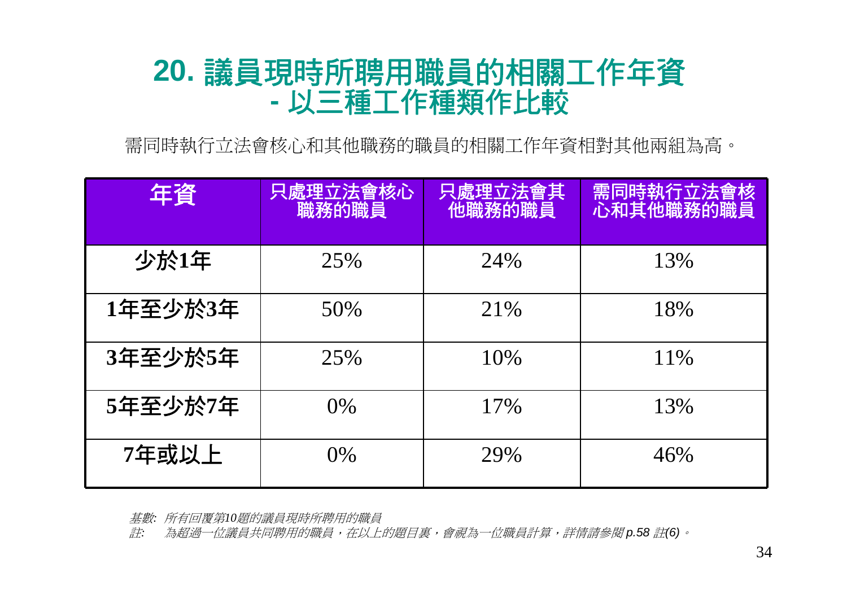#### **20.** 議員現時所聘用職員的相關工作年資 **-**以三種工作種類作比較

需同時執行立法會核心和其他職務的職員的相關工作年資相對其他兩組為高。

| 年資      | 只處理立法會核心<br>職務的職員 | 只處理立法會其<br>他職務的職員 | 需同時執行立法會核<br>心和其他職務的職員 |
|---------|-------------------|-------------------|------------------------|
| 少於1年    | 25%               | 24%               | 13%                    |
| 1年至少於3年 | 50%               | 21\%              | 18%                    |
| 3年至少於5年 | 25%               | 10\%              | 11\%                   |
| 5年至少於7年 | $0\%$             | 17%               | 13%                    |
| 7年或以上   | $0\%$             | 29%               | 46%                    |

基數*:* 所有回覆第*10*題的議員現時所聘用的職員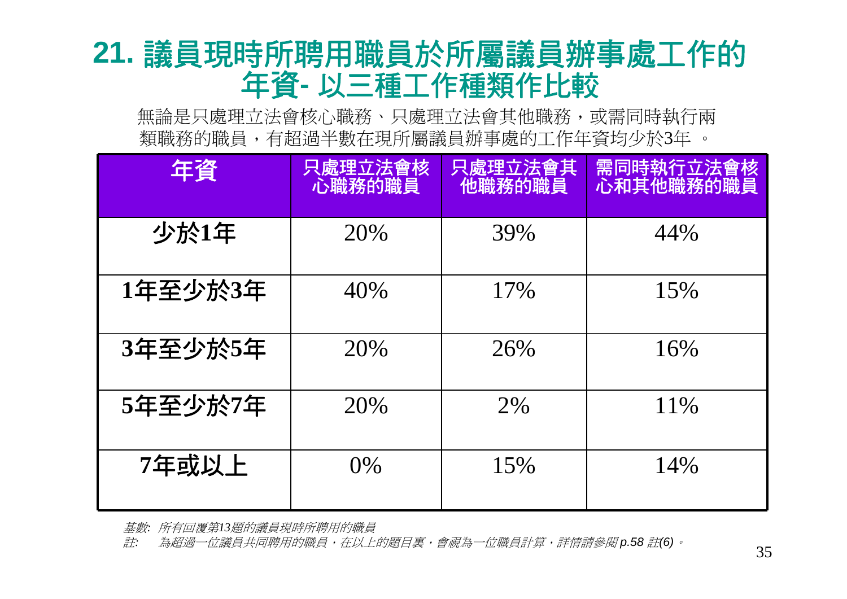### **21.** 議員現時所聘用職員於所屬議員辦事處工作的 年資**-** 以三種工作種類作比較

無論是只處理立法會核心職務、只處理立法會其他職務,或需同時執行兩 類職務的職員,有超過半數在現所屬議員辦事處的工作年資均少於3年 。

| 年資      | 只處理立法會核<br>心職務的職員 | 只處理立法會其<br>他職務的職員 | <b>需同時執行立法會核</b><br>心和其他職務的職員 |
|---------|-------------------|-------------------|-------------------------------|
| 少於1年    | 20%               | 39%               | 44%                           |
| 1年至少於3年 | 40%               | 17%               | 15%                           |
| 3年至少於5年 | 20%               | 26%               | 16%                           |
| 5年至少於7年 | 20%               | 2%                | 11\%                          |
| 7年或以上   | $0\%$             | 15%               | 14%                           |

基數*:* 所有回覆第*13*題的議員現時所聘用的職員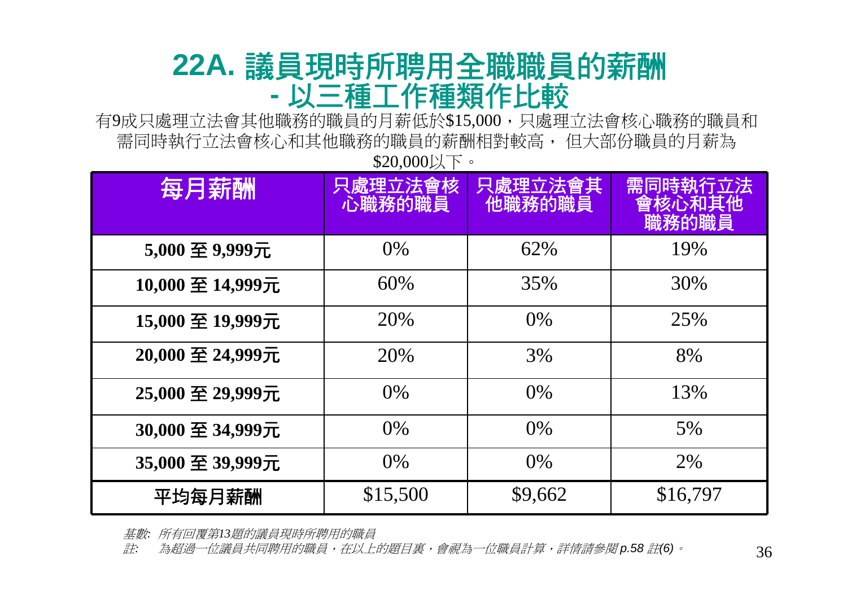#### **22A.** 議員現時所聘用全職職員的薪酬 **-**以三種工作種類作比較

有9成只處理立法會其他職務的職員的月薪低於\$15,000,只處理立法會核心職務的職員和 需同時執行立法會核心和其他職務的職員的薪酬相對較高, 但大部份職員的月薪為 \$20,000以下。

| 每月薪酬             | 只處理立法會核<br>心職務的職員 | 只處理立法會其<br>他職務的職員 | 需同時執行<br><b>TV法</b><br>电他<br>職務的職員 |
|------------------|-------------------|-------------------|------------------------------------|
| 5,000 至 9,999元   | $0\%$             | 62%               | 19%                                |
| 10,000 至 14,999元 | 60%               | 35%               | 30%                                |
| 15,000 至 19,999元 | 20%               | $0\%$             | 25%                                |
| 20,000 至 24,999元 | 20%               | 3%                | 8%                                 |
| 25,000 至 29,999元 | $0\%$             | $0\%$             | 13%                                |
| 30,000 至 34,999元 | $0\%$             | $0\%$             | $5\%$                              |
| 35,000 至 39,999元 | $0\%$             | $0\%$             | 2%                                 |
| 平均每月薪酬           | \$15,500          | \$9,662           | \$16,797                           |

基數*:* 所有回覆第*13*題的議員現時所聘用的職員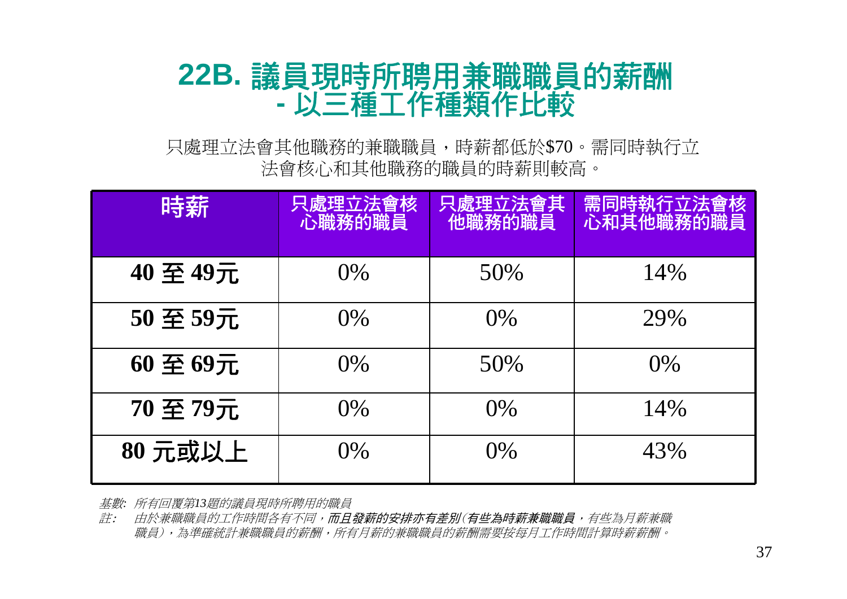#### **22B.** 議員現時所聘用兼職職員的薪酬 **-**以三種工作種類作比較

只處理立法會其他職務的兼職職員,時薪都低於\$70。需同時執行立 法會核心和其他職務的職員的時薪則較高。

| 時薪     | 處理立法會核<br>心職務的職員 | 只處理立法會其<br>他職務的職員 | 需同時執行立法會核<br>心和其他職務的職員 |
|--------|------------------|-------------------|------------------------|
| 40至49元 | $0\%$            | 50%               | 14%                    |
| 50至59元 | $0\%$            | 0%                | 29%                    |
| 60至69元 | $0\%$            | 50%               | $0\%$                  |
| 70至79元 | $0\%$            | $0\%$             | 14%                    |
| 80元或以上 | $0\%$            | 0%                | 43%                    |

基數*:* 所有回覆第*13*題的議員現時所聘用的職員

註: 由於兼職職員的工作時間各有不同,而且發薪的安排亦有差別(有些為時薪兼職職員,有些為月薪兼職 職員),為準確統計兼職職員的薪酬,所有月薪的兼職職員的薪酬需要按每月工作時間計算時薪薪酬。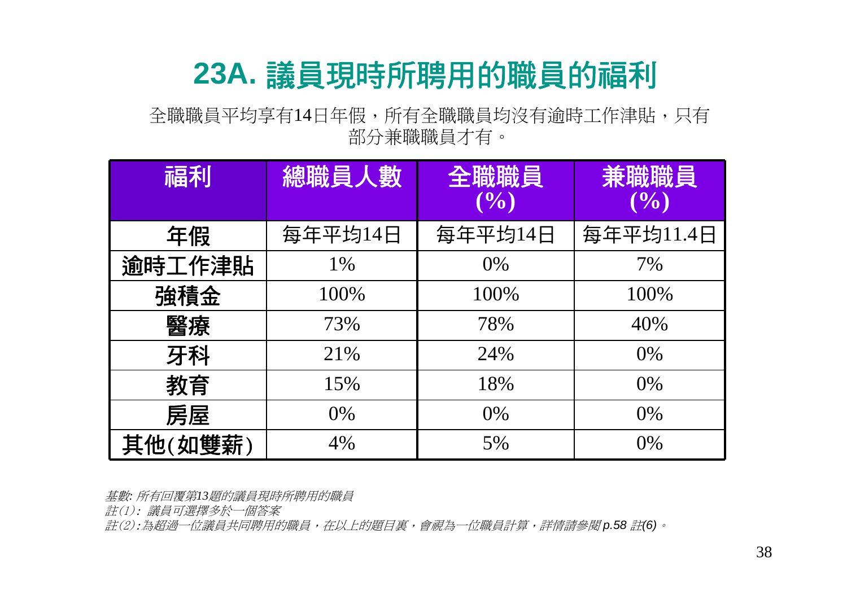### **23A.** 議員現時所聘用的職員的福利

全職職員平均享有14日年假,所有全職職員均沒有逾時工作津貼,只有 部分兼職職員才有。

| 福利      | 總職員人數   | 全職職員<br>(9/0) | 兼職職員<br>(9/0) |
|---------|---------|---------------|---------------|
| 年假      | 每年平均14日 | 每年平均14日       | 每年平均11.4日     |
| 逾時工作津貼  | 1%      | $0\%$         | 7%            |
| 強積金     | 100%    | 100%          | 100%          |
| 醫療      | 73%     | 78%           | 40%           |
| 牙科      | 21%     | 24%           | $0\%$         |
| 教育      | 15%     | 18%           | 0%            |
| 房屋      | $0\%$   | 0%            | 0%            |
| 其他(如雙薪) | 4%      | 5%            | 0%            |

基數*:* 所有回覆第*13*題的議員現時所聘用的職員

註(1): 議員可選擇多於一個答案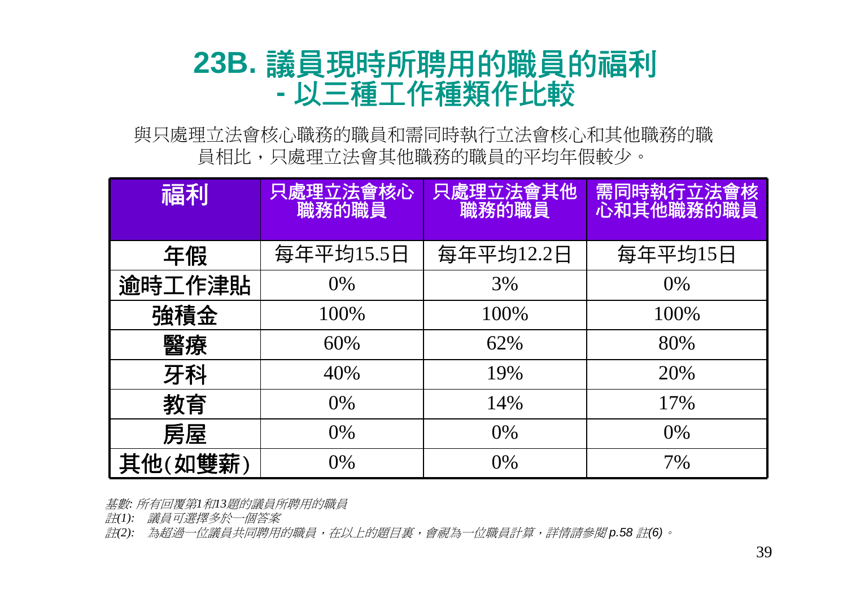#### **23B.** 議員現時所聘用的職員的福利 **-**以三種工作種類作比較

與只處理立法會核心職務的職員和需同時執行立法會核心和其他職務的職 員相比,只處理立法會其他職務的職員的平均年假較少。

| 福利          | 只處理立法會核心<br>職務的職員 | 只處理立法會其他<br>職務的職員 | 需同時執行立法會核<br>心和其他職務的職員 |
|-------------|-------------------|-------------------|------------------------|
| 年假          | 每年平均15.5日         | 每年平均12.2日         | 每年平均15日                |
| 逾時工作津貼      | $0\%$             | 3%                | 0%                     |
| 強積金         | 100%              | 100%              | 100%                   |
| 醫療          | 60%               | 62%               | 80%                    |
| 牙科          | 40%               | 19%               | 20%                    |
| 教育          | $0\%$             | 14%               | 17%                    |
| 房屋          | $0\%$             | $0\%$             | 0%                     |
| (如雙薪)<br>其他 | $0\%$             | $0\%$             | 7%                     |

基數*:* 所有回覆第*1*和*13*題的議員所聘用的職員

註*(1):* 議員可選擇多於一個答案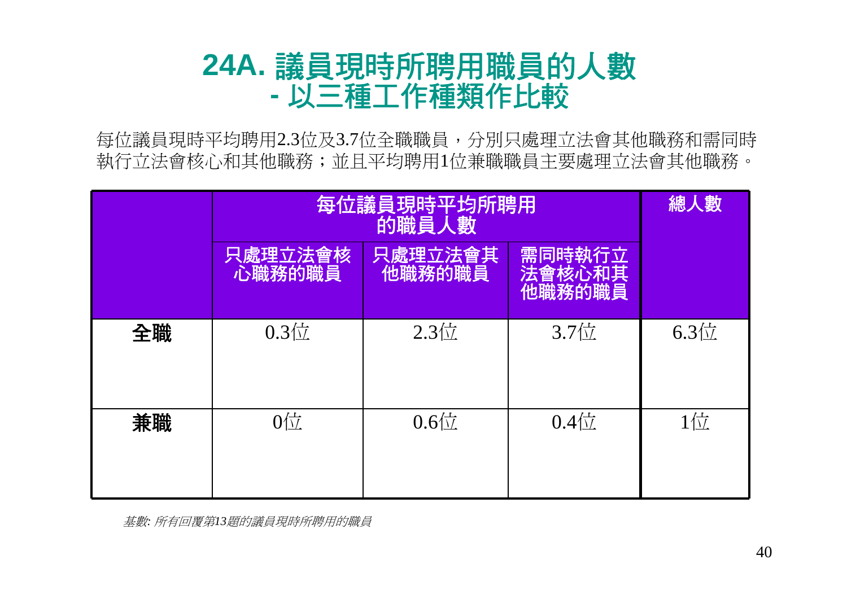#### **24A.** 議員現時所聘用職員的人數 **-**以三種工作種類作比較

每位議員現時平均聘用2.3位及3.7位全職職員,分別只處理立法會其他職務和需同時 執行立法會核心和其他職務;並且平均聘用1位兼職職員主要處理立法會其他職務。

|    | 每位議員現時平均所聘用       | 總人數                               |                            |              |
|----|-------------------|-----------------------------------|----------------------------|--------------|
|    | 只處理立法會核<br>心職務的職員 | 只處理立法會其<br>他職務的職員                 | 需同時執行立<br>法會核心和其<br>他職務的職員 |              |
| 全職 | $0.3 \times$      | $2.3$ 位                           | 3.7位                       | $6.3 \times$ |
| 兼職 | $0\frac{1}{2}$    | $0.6$ <sup><math>\pm</math></sup> | $0.4\frac{L}{11}$          | $1$ 位        |

基數*:* 所有回覆第*13*題的議員現時所聘用的職員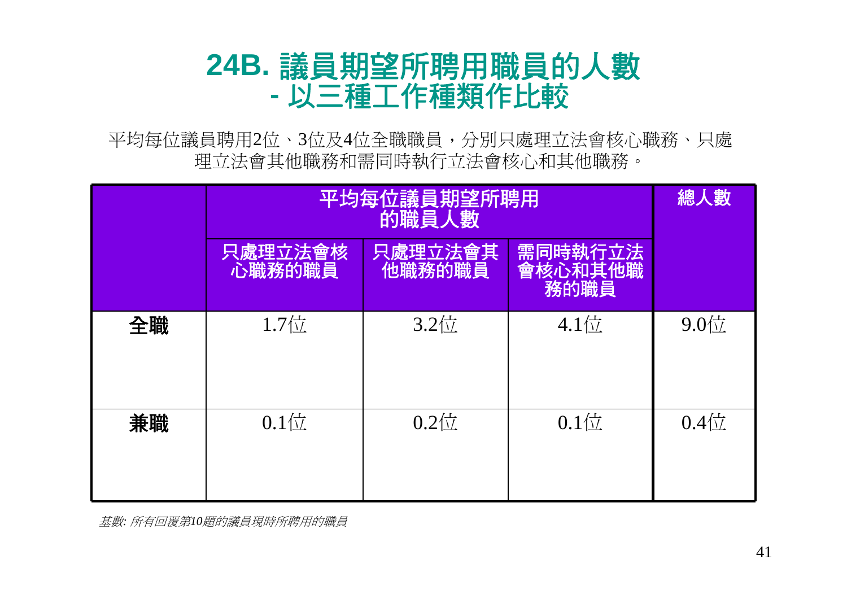#### **24B.** 議員期望所聘用職員的人數 **-**以三種工作種類作比較

平均每位議員聘用2位、3位及4位全職職員,分別只處理立法會核心職務、只處 理立法會其他職務和需同時執行立法會核心和其他職務。

|    | 平均每位議員期望所聘用       | 總人數               |                            |                   |
|----|-------------------|-------------------|----------------------------|-------------------|
|    | 只處理立法會核<br>心職務的職員 | 只處理立法會其<br>他職務的職員 | 需同時執行立法<br>會核心和其他職<br>務的職員 |                   |
| 全職 | $1.7$ 位           | $3.2$ 位           | $4.1$ 位                    | $9.0\frac{1}{11}$ |
| 兼職 | $0.1$ 位           | $0.2 \times$      | $0.1$ 位                    | $0.4\frac{1}{11}$ |

基數*:* 所有回覆第*10*題的議員現時所聘用的職員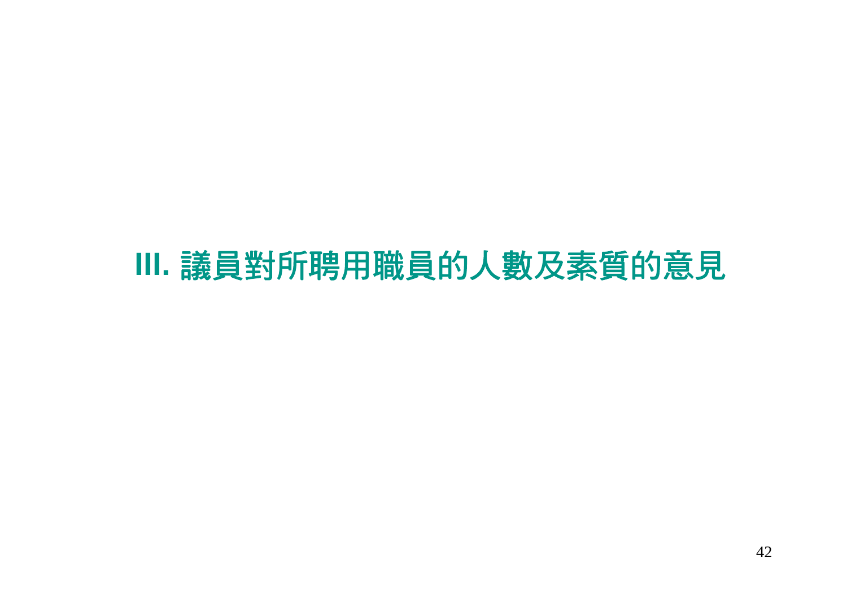# **III.** 議員對所聘用職員的人數及素質的意見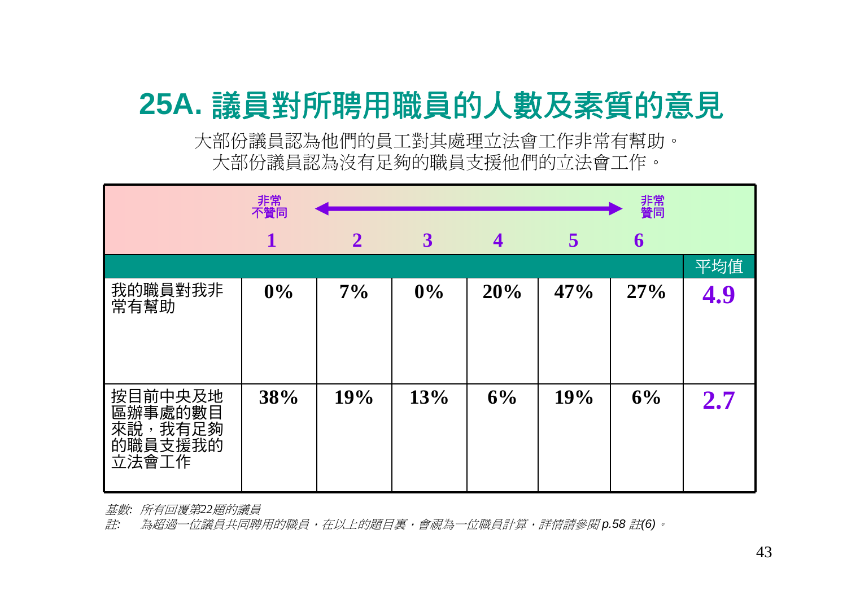# **25A.** 議員對所聘用職員的人數及素質的意見

大部份議員認為他們的員工對其處理立法會工作非常有幫助。 大部份議員認為沒有足夠的職員支援他們的立法會工作。

|                                                                                  | 非常<br>不贊同 |              |              |                |     | 非常<br>贊同 |     |
|----------------------------------------------------------------------------------|-----------|--------------|--------------|----------------|-----|----------|-----|
|                                                                                  | 1         | $\mathbf{2}$ | $\mathbf{3}$ | $\overline{4}$ | 5   | 6        |     |
|                                                                                  |           |              |              |                |     |          | 平均值 |
| 我的職員對我非<br>常有幫助                                                                  | $0\%$     | 7%           | $0\%$        | 20%            | 47% | 27%      | 4.9 |
| 按目前中央及地<br>區辦事處的數目<br>來說<br>我有足夠<br>$\overline{\phantom{a}}$<br>的職員支援我的<br>立法會工作 | 38%       | 19%          | 13%          | 6%             | 19% | 6%       | 2.7 |

基數*:* 所有回覆第*22*題的議員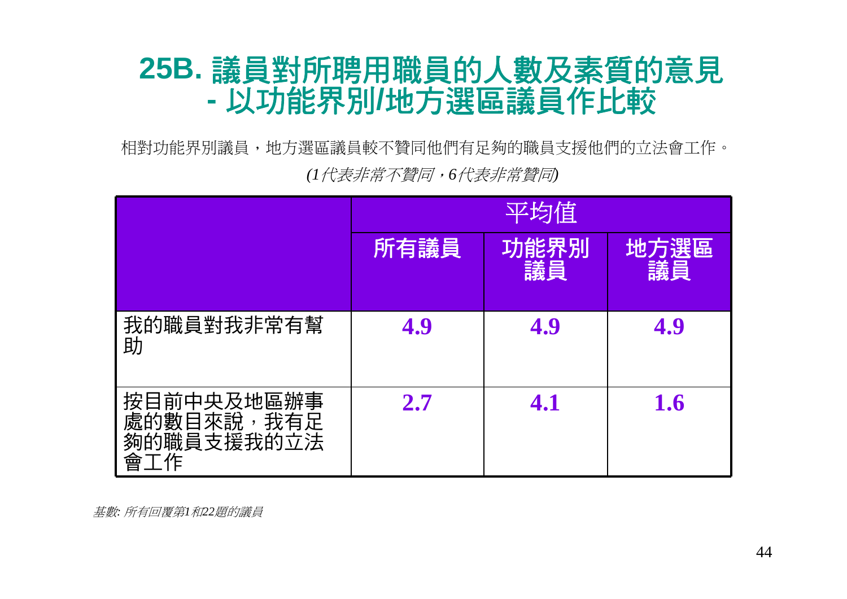### **25B.** 議員對所聘用職員的人數及素質的意見 **-**以功能界別**/**地方選區議員作比較

相對功能界別議員,地方選區議員較不贊同他們有足夠的職員支援他們的立法會工作。 *(1*代表非常不贊同,*6*代表非常贊同*)*

|                                                      | 平均值  |            |            |  |  |
|------------------------------------------------------|------|------------|------------|--|--|
|                                                      | 所有議員 | 功能界別<br>議員 | 地方選區<br>議員 |  |  |
| 我的職員對我非常有幫<br>助                                      | 4.9  | 4.9        | 4.9        |  |  |
| 按目前中央及地區辦事<br>處的數目來說<br>我有足<br>夠的職員支援我的立法<br>工作<br>會 | 2.7  | 4.1        | 1.6        |  |  |

基數*:* 所有回覆第*1*和*22*題的議員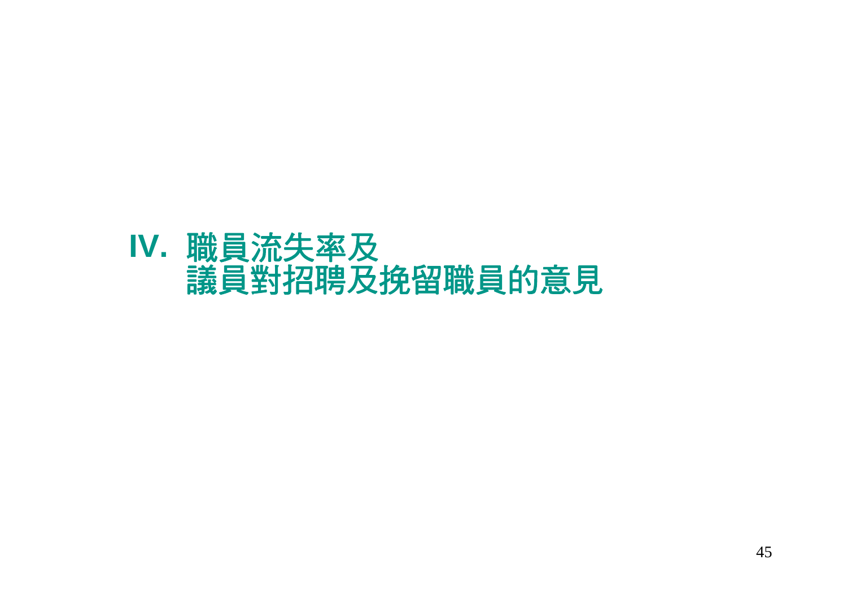### **IV.** 職員流失率及 議員對招聘及挽留職員的意見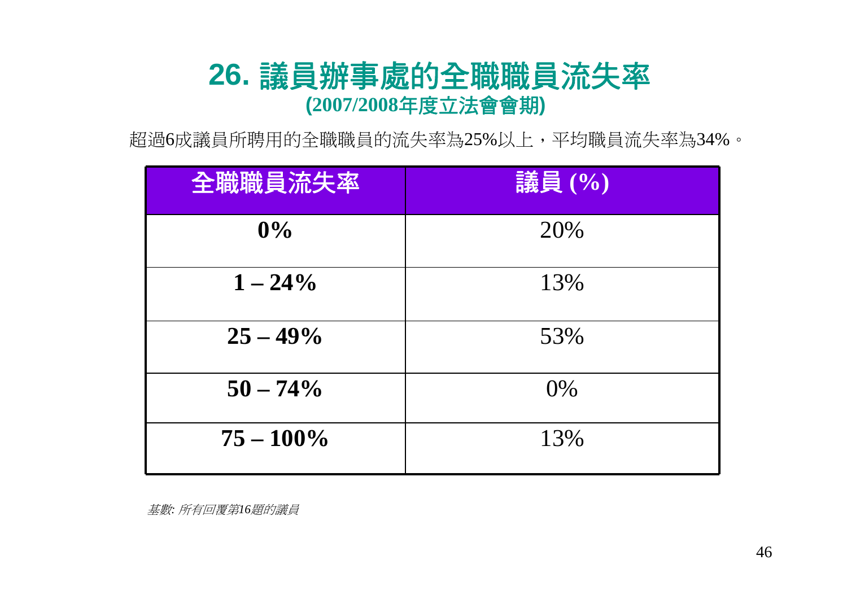### **26.** 議員辦事處的全職職員流失率 **(2007/2008**年度立法會會期**)**

超過6成議員所聘用的全職職員的流失率為25%以上,平均職員流失率為34%。

| 全職職員流失率      | 議員(%) |
|--------------|-------|
| $0\%$        | 20%   |
| $1 - 24\%$   | 13%   |
| $25 - 49\%$  | 53%   |
| $50 - 74\%$  | 0%    |
| $75 - 100\%$ | 13%   |

基數*:* 所有回覆第*16*題的議員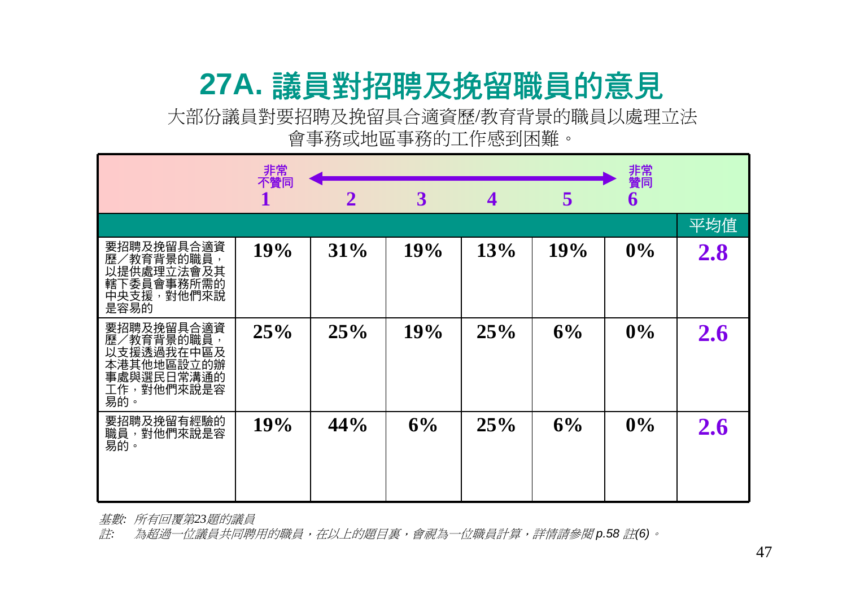# **27A.** 議員對招聘及挽留職員的意見

大部份議員對要招聘及挽留具合適資歷/教育背景的職員以處理立法 會事務或地區事務的工作感到困難。

|                                                                                         | 非常<br>不贊同 |                |              |     |     | 非常<br>贊同 |     |
|-----------------------------------------------------------------------------------------|-----------|----------------|--------------|-----|-----|----------|-----|
|                                                                                         |           | $\overline{2}$ | $\mathbf{3}$ | 4   | 5   | 6        |     |
|                                                                                         |           |                |              |     |     |          | 平均值 |
| 要招聘及挽留具合適資<br>歷/教育背景的職員,<br>以提供處理立法會及其<br>轄下委員會事務所需的<br>中央支援,對他們來說<br>是容易的              | 19%       | 31%            | 19%          | 13% | 19% | 0%       | 2.8 |
| 要招聘及挽留具合適資<br>歷/教育背景的職員,<br>以支援透過我在中區及<br>本港其他地區設立的辦<br>事處與選民日常溝通的<br>工作,對他們來說是容<br>易的。 | 25%       | 25%            | 19%          | 25% | 6%  | 0%       | 2.6 |
| 要招聘及挽留有經驗的<br>職員,對他們來說是容<br>易的。                                                         | 19%       | 44%            | 6%           | 25% | 6%  | 0%       | 2.6 |

基數*:* 所有回覆第*23*題的議員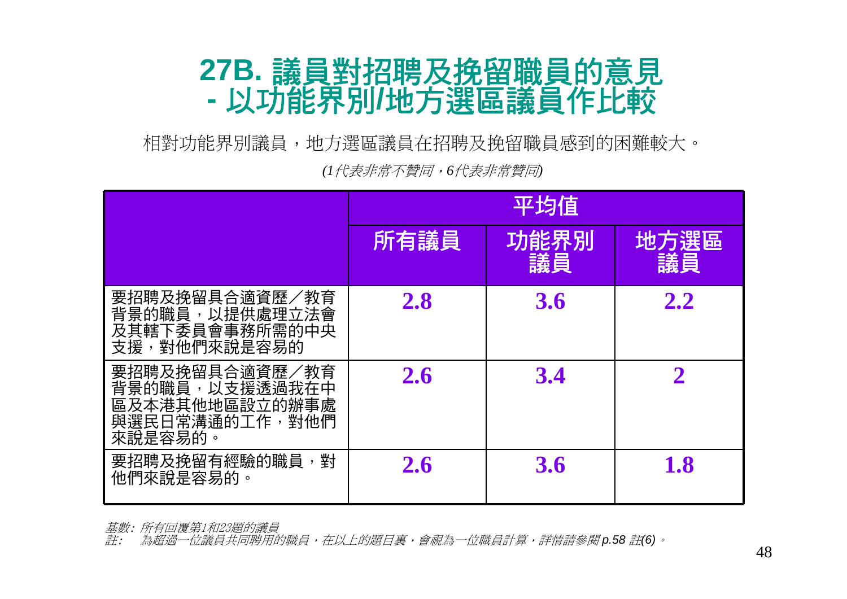#### **27B.** 議員對招聘及挽留職員的意見 **-**以功能界別**/**地方選區議員作比較

相對功能界別議員,地方選區議員在招聘及挽留職員感到的困難較大。

*(1*代表非常不贊同,*6*代表非常贊同*)*

|                                                                                     | 平均值        |            |                    |  |  |
|-------------------------------------------------------------------------------------|------------|------------|--------------------|--|--|
|                                                                                     | 所有議員       | 功能界別<br>議員 | 地方選區<br>議員         |  |  |
| 要招聘及挽留具合適資歷/教育<br>背景的職員,以提供處理立法會<br>及其轄下委員會事務所需的中央<br>對他們來說是容易的<br>支援,              | <b>2.8</b> | <b>3.6</b> | 2.2                |  |  |
| 要招聘及挽留具合適資歷/教育<br>背景的職員,以支援透過我在中<br>區及本港其他地區設立的辦事處<br>與選民日常溝通的工作,<br>對他們<br>來說是容易的。 | 2.6        | 3.4        |                    |  |  |
| 要招聘及挽留有經驗的職員,<br>科<br>他們來說是容易的                                                      | 2.6        | <b>3.6</b> | $\boldsymbol{1.8}$ |  |  |

基數: 所有回覆第1和23題的議員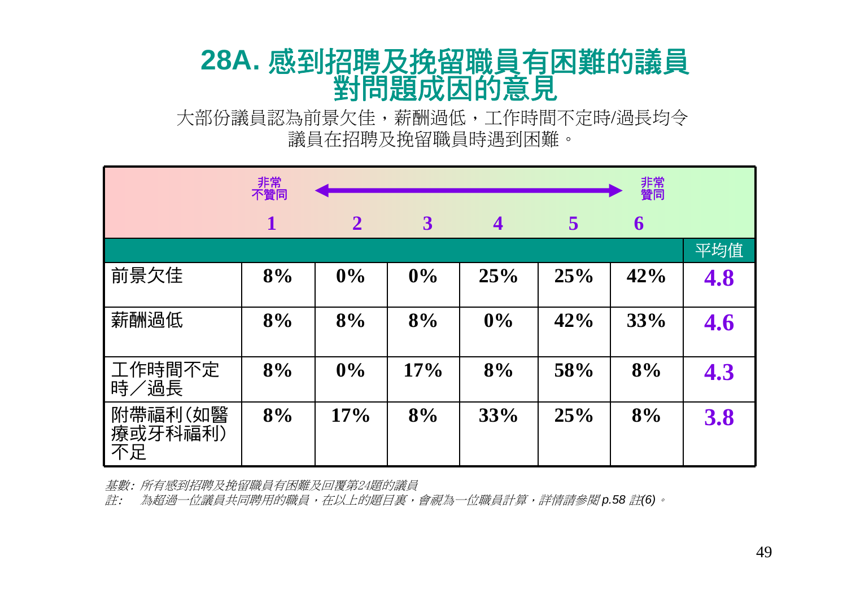### **28A.** 感到招聘及挽留職員有困難的議員 對問題成因的意見

大部份議員認為前景欠佳,薪酬過低,工作時間不定時/過長均令 議員在招聘及挽留職員時遇到困難。

|                          | 非常<br>不贊同 |              |              |                         |     | 非常<br>贊同 |     |
|--------------------------|-----------|--------------|--------------|-------------------------|-----|----------|-----|
|                          |           | $\mathbf{2}$ | $\mathbf{3}$ | $\overline{\mathbf{4}}$ | 5   | 6        |     |
|                          |           |              |              |                         |     |          | 平均值 |
| 前景欠佳                     | 8%        | 0%           | 0%           | 25%                     | 25% | 42%      | 4.8 |
| 薪酬過低                     | 8%        | 8%           | 8%           | 0%                      | 42% | 33%      | 4.6 |
| 工作時間不定<br>時/過長           | 8%        | 0%           | 17%          | 8%                      | 58% | 8%       | 4.3 |
| 附帶福利(如醫<br>療或牙科福利)<br>不足 | 8%        | 17%          | 8%           | 33%                     | 25% | 8%       | 3.8 |

基數: 所有感到招聘及挽留職員有困難及回覆第24題的議員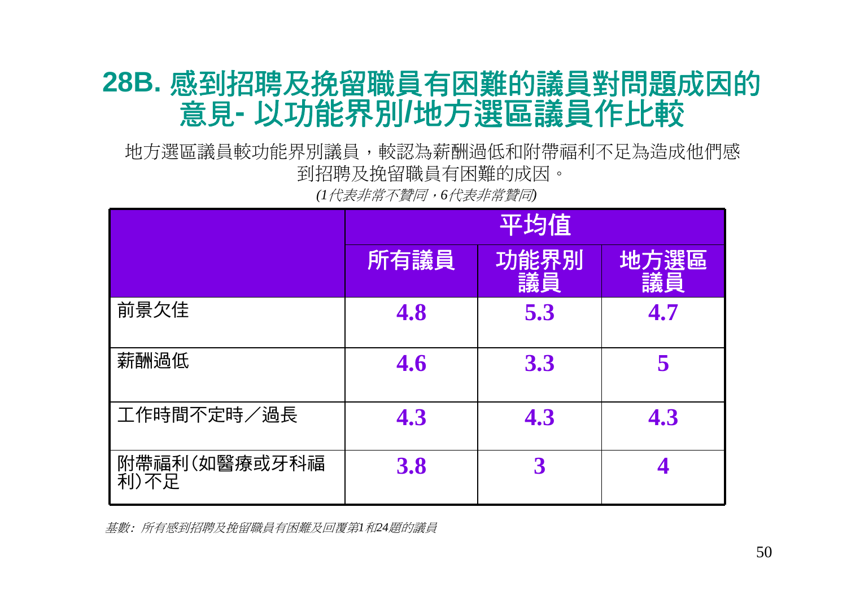### **28B.** 感到招聘及挽留職員有困難的議員對問題成因的 意見**-** 以功能界別**/**地方選區議員作比較

地方選區議員較功能界別議員,較認為薪酬過低和附帶福利不足為造成他們感 到招聘及挽留職員有困難的成因。

*(1*代表非常不贊同,*6*代表非常贊同*)*

|                      |      | 平均值        |            |
|----------------------|------|------------|------------|
|                      | 所有議員 | 功能界別<br>議員 | 地方選區<br>議員 |
| 前景欠佳                 | 4.8  | 5.3        | 4.7        |
| 薪酬過低                 | 4.6  | 3.3        |            |
| 工作時間不定時/過長           | 4.3  | 4.3        | 4.3        |
| 附帶福利(如醫療或牙科福<br>利)不足 | 3.8  | 3          |            |

基數: 所有感到招聘及挽留職員有困難及回覆第*1*和*24*題的議員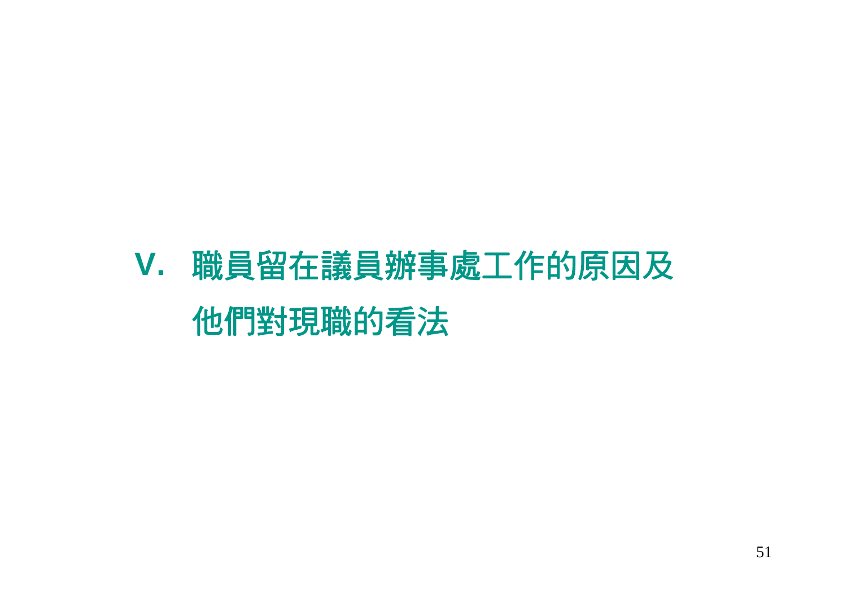# **V.** 職員留在議員辦事處工作的原因及 他們對現職的看法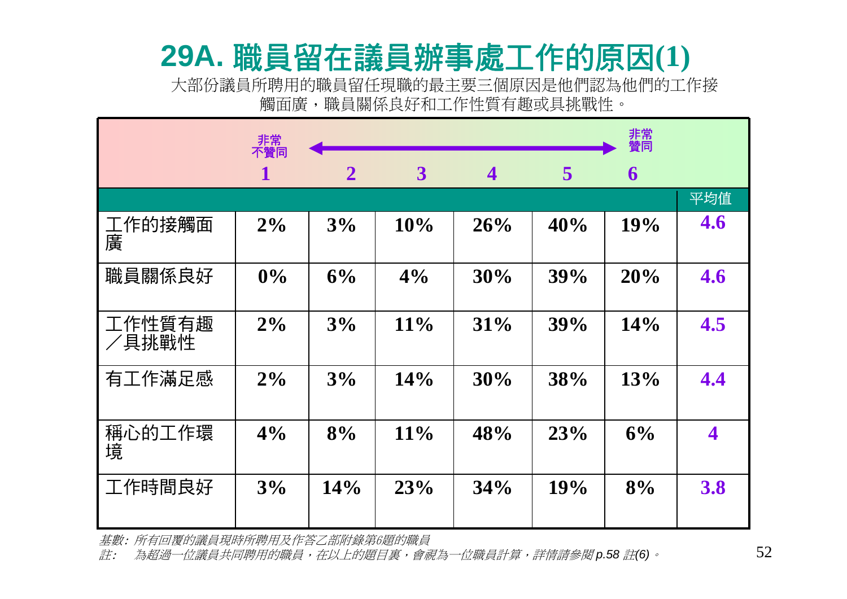### **29A.** 職員留在議員辦事處工作的原因**(1)**

大部份議員所聘用的職員留任現職的最主要三個原因是他們認為他們的工作接 觸面廣,職員關係良好和工作性質有趣或具挑戰性。

|                 | 非常<br>不贊同   |              |        |                         |     | 非常<br>贊同 |                         |
|-----------------|-------------|--------------|--------|-------------------------|-----|----------|-------------------------|
|                 | $\mathbf 1$ | $\mathbf{2}$ | 3      | $\overline{\mathbf{4}}$ | 5   | 6        |                         |
|                 |             |              |        |                         |     |          | 平均值                     |
| 工作的接觸面<br>廣     | $2\%$       | 3%           | 10%    | 26%                     | 40% | 19%      | 4.6                     |
| 職員關係良好          | 0%          | 6%           | 4%     | 30%                     | 39% | 20%      | 4.6                     |
| 工作性質有趣<br>/具挑戰性 | 2%          | 3%           | 11%    | 31%                     | 39% | 14%      | 4.5                     |
| 有工作滿足感          | $2\%$       | 3%           | 14%    | 30%                     | 38% | 13%      | 4.4                     |
| 稱心的工作環<br>境     | 4%          | 8%           | $11\%$ | 48%                     | 23% | 6%       | $\overline{\mathbf{4}}$ |
| 工作時間良好          | 3%          | 14%          | 23%    | 34%                     | 19% | 8%       | 3.8                     |

基數: 所有回覆的議員現時所聘用及作答乙部附錄第6題的職員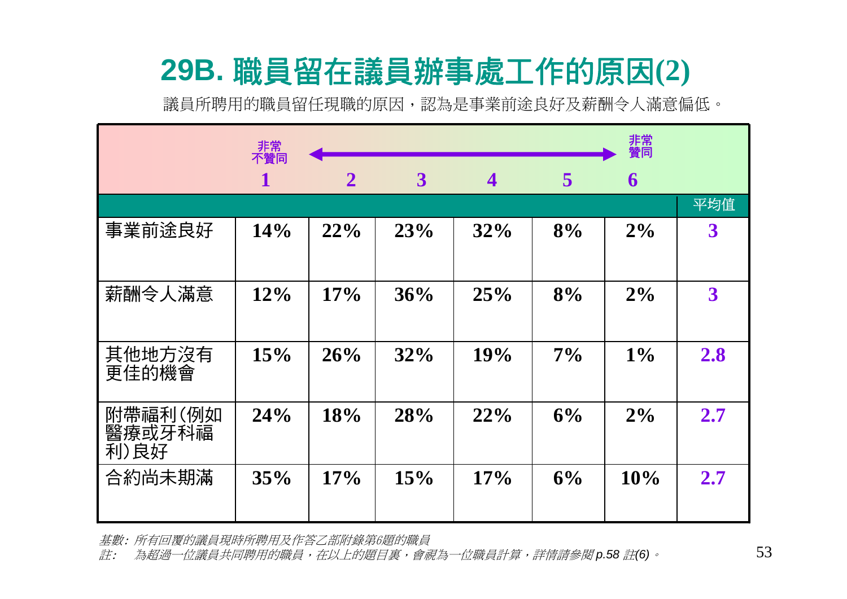# **29B.** 職員留在議員辦事處工作的原因**(2)**

議員所聘用的職員留任現職的原因,認為是事業前途良好及薪酬令人滿意偏低。

|                           | 非常<br>不贊同 |              |              |                         |       | 非常<br>贊同 |                         |
|---------------------------|-----------|--------------|--------------|-------------------------|-------|----------|-------------------------|
|                           | 1         | $\mathbf{2}$ | $\mathbf{3}$ | $\overline{\mathbf{4}}$ | 5     | 6        |                         |
|                           |           |              |              |                         |       |          | 平均值                     |
| 事業前途良好                    | 14%       | 22%          | 23%          | 32%                     | 8%    | $2\%$    | $\boldsymbol{3}$        |
| 薪酬令人滿意                    | $12\%$    | 17%          | 36%          | 25%                     | 8%    | 2%       | $\overline{\mathbf{3}}$ |
| 其他地方沒有<br>更佳的機會           | 15%       | 26%          | 32%          | 19%                     | $7\%$ | $1\%$    | 2.8                     |
| 附帶福利(例如<br>醫療或牙科福<br>利)良好 | 24%       | 18%          | 28%          | 22%                     | 6%    | 2%       | 2.7                     |
| 合約尚未期滿                    | 35%       | 17%          | 15%          | 17%                     | 6%    | 10%      | 2.7                     |

基數: 所有回覆的議員現時所聘用及作答乙部附錄第6題的職員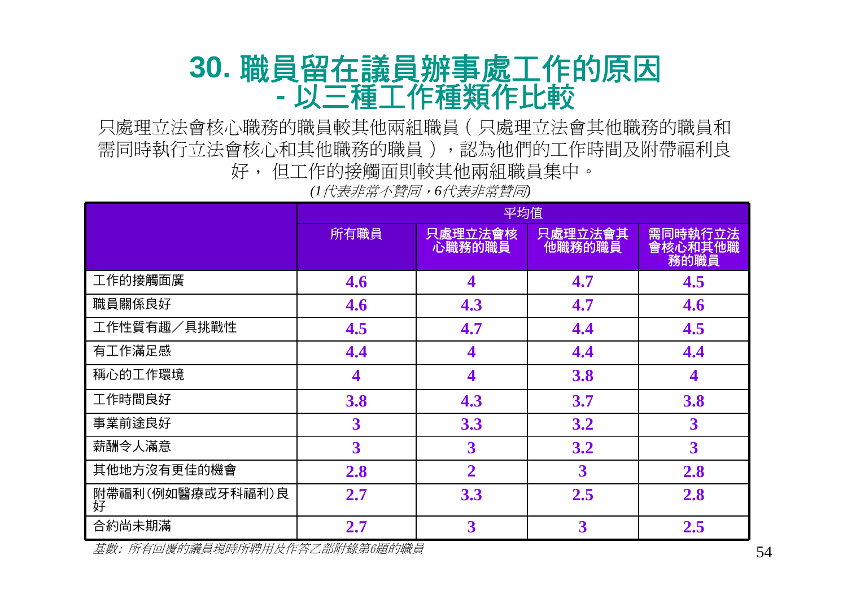#### **30.** 職員留在議員辦事處工作的原因 **-**以三種工作種類作比較

只處理立法會核心職務的職員較其他兩組職員(只處理立法會其他職務的職員和 需同時執行立法會核心和其他職務的職員),認為他們的工作時間及附帶福利良 好, 但工作的接觸面則較其他兩組職員集中。

*(1*代表非常不贊同,*6*代表非常贊同*)*

|                       |      | 平均值               |                   |                              |  |  |  |  |
|-----------------------|------|-------------------|-------------------|------------------------------|--|--|--|--|
|                       | 所有職員 | 只處理立法會核<br>心職務的職員 | 只處理立法會其<br>他職務的職員 | 需同時執行立法<br>會核心和其他職<br>- 務的職員 |  |  |  |  |
| 工作的接觸面廣               | 4.6  | 4                 | 4.7               | 4.5                          |  |  |  |  |
| 職員關係良好                | 4.6  | 4.3               | 4.7               | 4.6                          |  |  |  |  |
| 工作性質有趣/具挑戰性           | 4.5  | 4.7               | 4.4               | 4.5                          |  |  |  |  |
| 有工作滿足感                | 4.4  |                   | 4.4               | 4.4                          |  |  |  |  |
| 稱心的工作環境               | 4    | 4                 | 3.8               | 4                            |  |  |  |  |
| 工作時間良好                | 3.8  | 4.3               | 3.7               | 3.8                          |  |  |  |  |
| 事業前途良好                | 3    | 3.3               | 3.2               | 3                            |  |  |  |  |
| 薪酬令人滿意                | 3    | 3                 | 3.2               | $\overline{\mathbf{3}}$      |  |  |  |  |
| 其他地方沒有更佳的機會           | 2.8  | $\overline{2}$    | 3                 | 2.8                          |  |  |  |  |
| 附帶福利(例如醫療或牙科福利)良<br>好 | 2.7  | 3.3               | 2.5               | 2.8                          |  |  |  |  |
| 合約尚未期滿                | 2.7  | 3                 | 3                 | 2.5                          |  |  |  |  |

基數: 所有回覆的議員現時所聘用及作答乙部附錄第6題的職員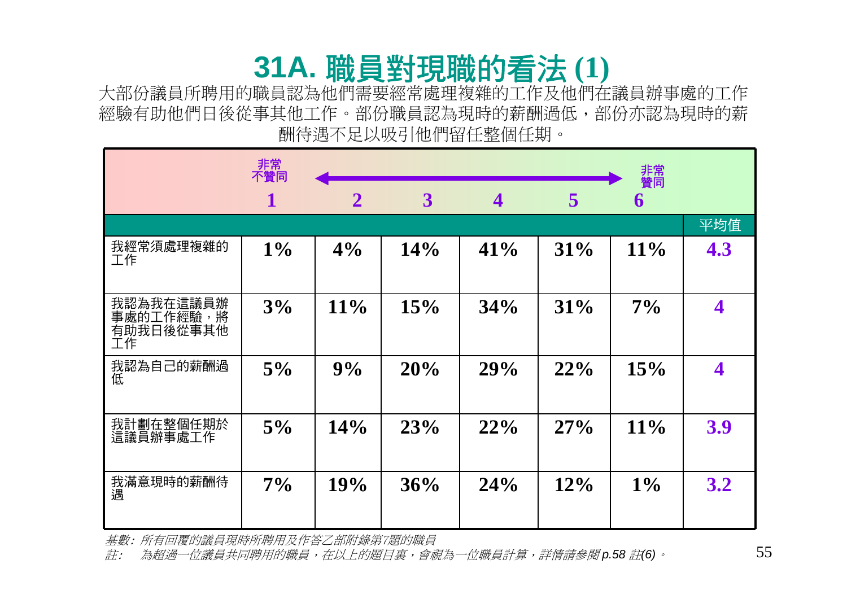# **31A.** 職員對現職的看法 **(1)**

大部份議員所聘用的職員認為他們需要經常處理複雜的工作及他們在議員辦事處的工作 經驗有助他們日後從事其他工作。部份職員認為現時的薪酬過低,部份亦認為現時的薪 酬待遇不足以吸引他們留任整個任期。

|                                           | 非常<br>不贊同 |                |     |                         |        | 非常<br>贊同 |     |
|-------------------------------------------|-----------|----------------|-----|-------------------------|--------|----------|-----|
|                                           | 1         | $\overline{2}$ | 3   | $\overline{\mathbf{4}}$ | 5      | 6        |     |
|                                           |           |                |     |                         |        |          | 平均值 |
| 我經常須處理複雜的<br>工作                           | $1\%$     | 4%             | 14% | 41%                     | 31%    | $11\%$   | 4.3 |
| 我認為我在這議員辦<br>事處的工作經驗,將<br>有助我日後從事其他<br>工作 | 3%        | 11%            | 15% | 34%                     | 31%    | $7\%$    | 4   |
| 我認為自己的薪酬過<br>低                            | 5%        | 9%             | 20% | 29%                     | 22%    | 15%      | 4   |
| 我計劃在整個任期於<br>這議員辦事處工作                     | 5%        | 14%            | 23% | 22%                     | 27%    | $11\%$   | 3.9 |
| 我滿意現時的薪酬待<br>遇                            | $7\%$     | 19%            | 36% | 24%                     | $12\%$ | $1\%$    | 3.2 |

基數: 所有回覆的議員現時所聘用及作答乙部附錄第7題的職員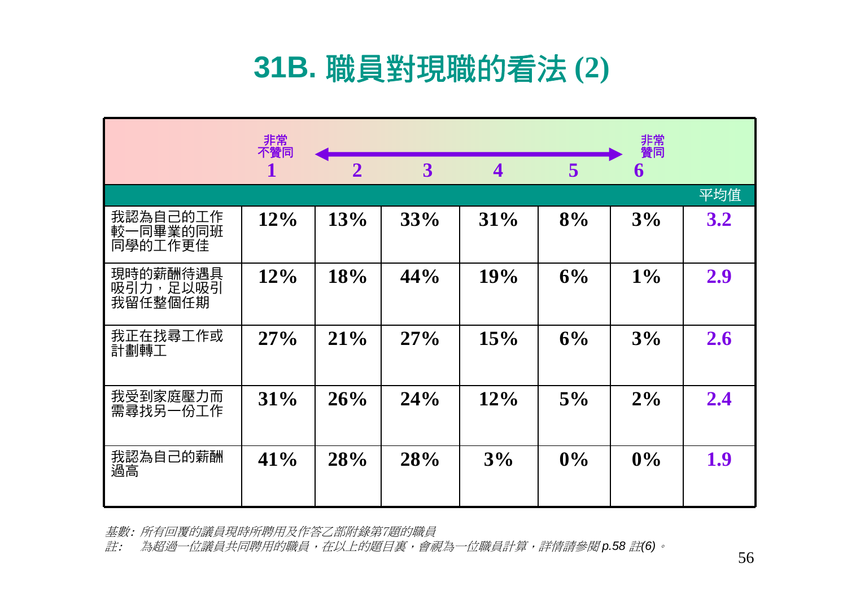### **31B.** 職員對現職的看法 **(2)**

|                                 | 非常<br>不贊同 |                |                |                         |       | 非常<br>贊同 |     |
|---------------------------------|-----------|----------------|----------------|-------------------------|-------|----------|-----|
|                                 |           | $\overline{2}$ | $\overline{3}$ | $\overline{\mathbf{4}}$ | 5     | 6        |     |
|                                 |           |                |                |                         |       |          | 平均值 |
| 我認為自己的工作<br>較一同畢業的同班<br>同學的工作更佳 | 12%       | 13%            | 33%            | 31%                     | 8%    | 3%       | 3.2 |
| 現時的薪酬待遇具<br>吸引力,足以吸引<br>我留任整個任期 | 12%       | 18%            | 44%            | 19%                     | 6%    | $1\%$    | 2.9 |
| 我正在找尋工作或<br>計劃轉工                | 27%       | 21%            | 27%            | 15%                     | 6%    | 3%       | 2.6 |
| 我受到家庭壓力而<br>需尋找另一份工作            | 31%       | 26%            | 24%            | 12%                     | 5%    | $2\%$    | 2.4 |
| 我認為自己的薪酬<br>過高                  | 41%       | 28%            | 28%            | 3%                      | $0\%$ | 0%       | 1.9 |

基數: 所有回覆的議員現時所聘用及作答乙部附錄第7題的職員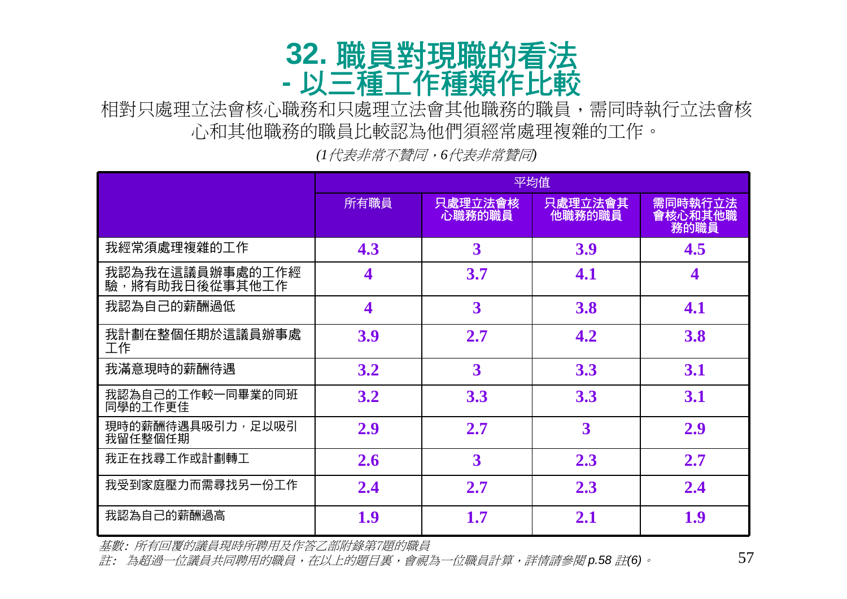#### **32.** 職員對現職的看法 **-**以三種工作種類作比較

相對只處理立法會其他職務的職員,需同時執行立法會核 心和其他職務的職員比較認為他們須經常處理複雜的工作。

平均值 所有職員 | **只處理立法會核** 心職務的職員 只處理立法會其 他職務的職員 需同時執行立法 會核心和其他職 務的職員 我經常須處理複雜的工作 **4.3 3 3.9 4.5** 我認為我在這議員辦事處的工作經 驗,將有助我日後從事其他工作 **<sup>4</sup> 3.7 4.1 <sup>4</sup>** 我認為自己的薪酬過低 **4 3 3.8 4.1** 我計劃在整個任期於這議員辦事處 工作 **3.9 2.7 4.2 3.8** 我滿意現時的薪酬待遇 **3.2 3 3.3 3.1** 我認為自己的工作較一同畢業的同班 同學的工作更佳 **3.2 3.3 3.3 3.1** 現時的薪酬待遇具吸引力,足以吸引 **2.9 2.7 3 2.9**<br>我留任整個任期 我正在找尋工作或計劃轉工 **2.6 3 2.3 2.7** 我受到家庭壓力而需尋找另一份工作 **2.4 2.7 2.3 2.4** 我認為自己的薪酬過高 **1.91.7 2.1 1.9**

*(1*代表非常不贊同,*6*代表非常贊同*)*

基數: 所有回覆的議員現時所聘用及作答乙部附錄第7題的職員

註: 為超過一位議員共同聘用的職員,在以上的題目裏,會視為一位職員計算,詳情請參閱 *p.58* 註*(6)*。

57